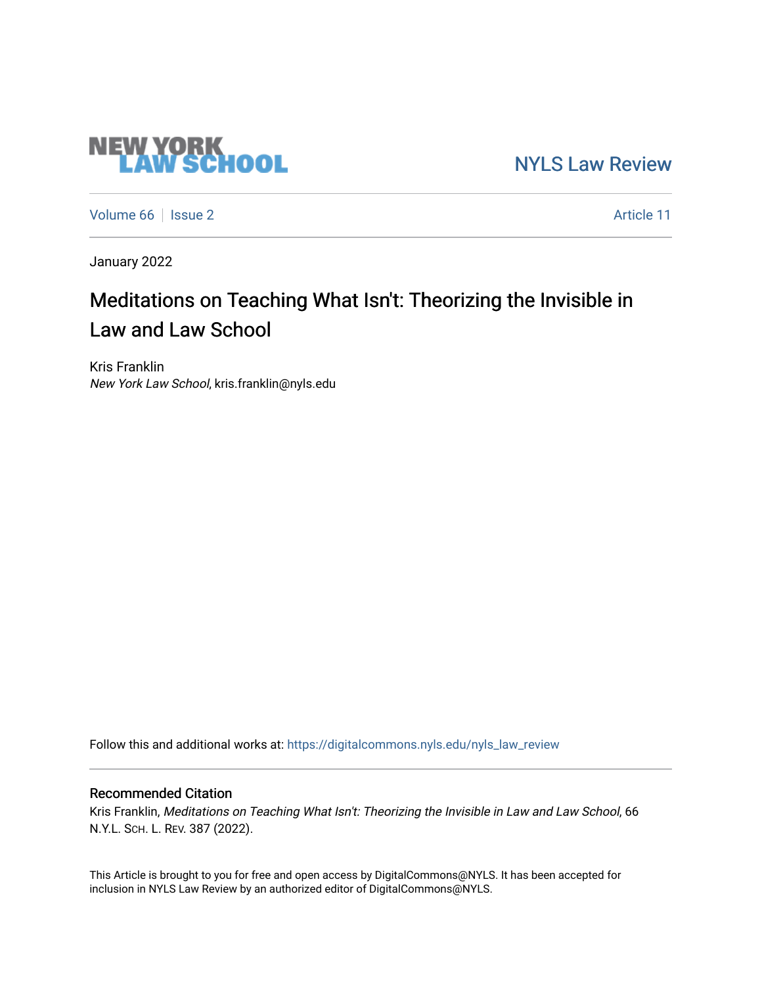# **NEW YORK<br>LAW SCHOOL**

[NYLS Law Review](https://digitalcommons.nyls.edu/nyls_law_review) 

[Volume 66](https://digitalcommons.nyls.edu/nyls_law_review/vol66) | [Issue 2](https://digitalcommons.nyls.edu/nyls_law_review/vol66/iss2) Article 11

January 2022

# Meditations on Teaching What Isn't: Theorizing the Invisible in Law and Law School

Kris Franklin New York Law School, kris.franklin@nyls.edu

Follow this and additional works at: [https://digitalcommons.nyls.edu/nyls\\_law\\_review](https://digitalcommons.nyls.edu/nyls_law_review?utm_source=digitalcommons.nyls.edu%2Fnyls_law_review%2Fvol66%2Fiss2%2F11&utm_medium=PDF&utm_campaign=PDFCoverPages) 

# Recommended Citation

Kris Franklin, Meditations on Teaching What Isn't: Theorizing the Invisible in Law and Law School, 66 N.Y.L. SCH. L. REV. 387 (2022).

This Article is brought to you for free and open access by DigitalCommons@NYLS. It has been accepted for inclusion in NYLS Law Review by an authorized editor of DigitalCommons@NYLS.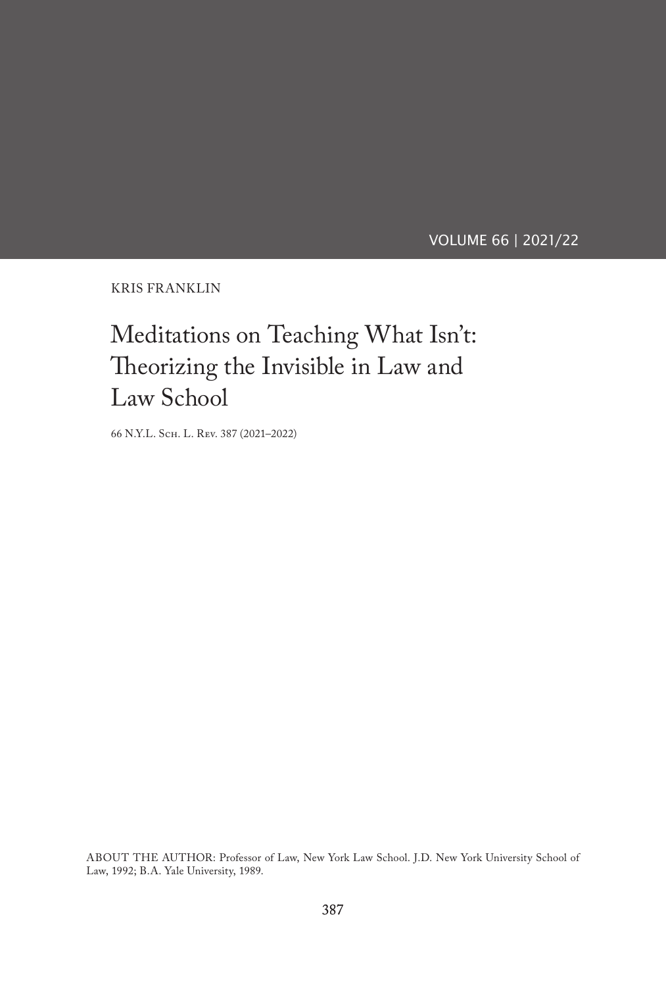VOLUME 66 | 2021/22

KRIS FRANKLIN

# Meditations on Teaching What Isn't: Theorizing the Invisible in Law and Law School

66 N.Y.L. Sch. L. Rev. 387 (2021–2022)

ABOUT THE AUTHOR: Professor of Law, New York Law School. J.D. New York University School of Law, 1992; B.A. Yale University, 1989.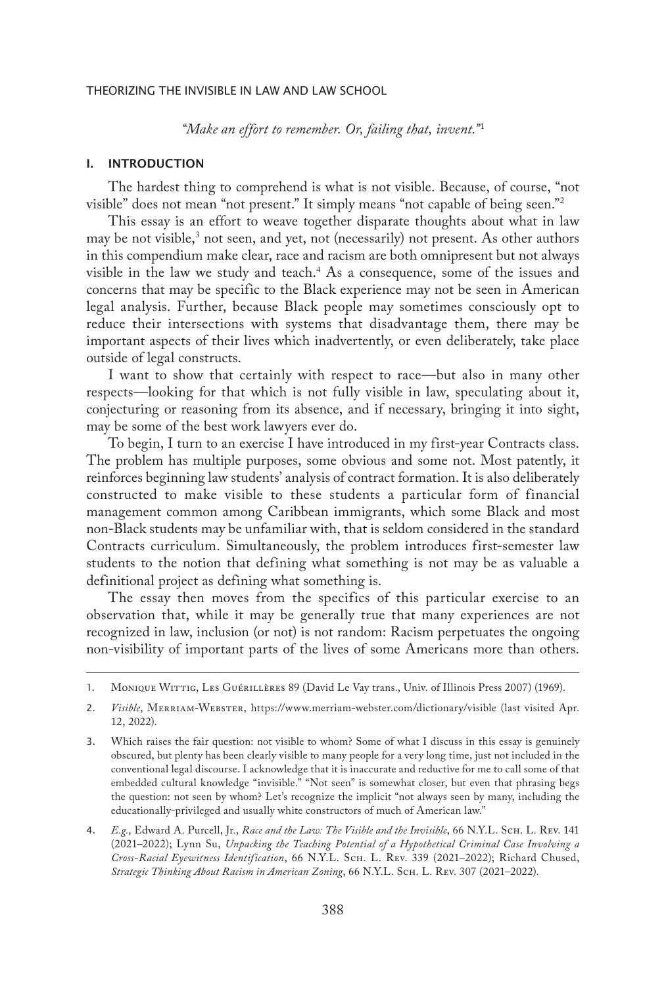*"Make an effort to remember. Or, failing that, invent."*<sup>1</sup>

#### I. INTRODUCTION

The hardest thing to comprehend is what is not visible. Because, of course, "not visible" does not mean "not present." It simply means "not capable of being seen."2

This essay is an effort to weave together disparate thoughts about what in law may be not visible,<sup>3</sup> not seen, and yet, not (necessarily) not present. As other authors in this compendium make clear, race and racism are both omnipresent but not always visible in the law we study and teach.4 As a consequence, some of the issues and concerns that may be specific to the Black experience may not be seen in American legal analysis. Further, because Black people may sometimes consciously opt to reduce their intersections with systems that disadvantage them, there may be important aspects of their lives which inadvertently, or even deliberately, take place outside of legal constructs.

I want to show that certainly with respect to race—but also in many other respects—looking for that which is not fully visible in law, speculating about it, conjecturing or reasoning from its absence, and if necessary, bringing it into sight, may be some of the best work lawyers ever do.

To begin, I turn to an exercise I have introduced in my first-year Contracts class. The problem has multiple purposes, some obvious and some not. Most patently, it reinforces beginning law students' analysis of contract formation. It is also deliberately constructed to make visible to these students a particular form of financial management common among Caribbean immigrants, which some Black and most non-Black students may be unfamiliar with, that is seldom considered in the standard Contracts curriculum. Simultaneously, the problem introduces first-semester law students to the notion that defining what something is not may be as valuable a definitional project as defining what something is.

The essay then moves from the specifics of this particular exercise to an observation that, while it may be generally true that many experiences are not recognized in law, inclusion (or not) is not random: Racism perpetuates the ongoing non-visibility of important parts of the lives of some Americans more than others.

<sup>1.</sup> Monique Wittig, Les Guérillères 89 (David Le Vay trans., Univ. of Illinois Press 2007) (1969).

<sup>2.</sup> *Visible*, Merriam-Webster, https://www.merriam-webster.com/dictionary/visible (last visited Apr. 12, 2022).

<sup>3.</sup> Which raises the fair question: not visible to whom? Some of what I discuss in this essay is genuinely obscured, but plenty has been clearly visible to many people for a very long time, just not included in the conventional legal discourse. I acknowledge that it is inaccurate and reductive for me to call some of that embedded cultural knowledge "invisible." "Not seen" is somewhat closer, but even that phrasing begs the question: not seen by whom? Let's recognize the implicit "not always seen by many, including the educationally-privileged and usually white constructors of much of American law."

<sup>4.</sup> *E.g.*, Edward A. Purcell, Jr., *Race and the Law: The Visible and the Invisible*, 66 N.Y.L. Sch. L. Rev. 141 (2021–2022); Lynn Su, *Unpacking the Teaching Potential of a Hypothetical Criminal Case Involving a Cross-Racial Eyewitness Identification*, 66 N.Y.L. Sch. L. Rev. 339 (2021–2022); Richard Chused, Strategic Thinking About Racism in American Zoning, 66 N.Y.L. SCH. L. REV. 307 (2021-2022).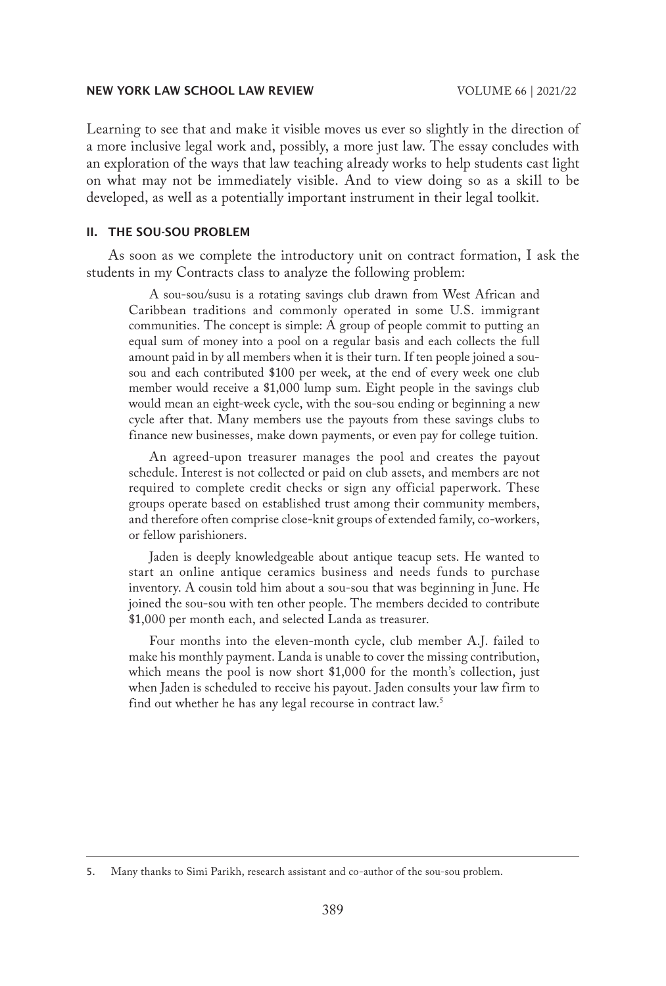Learning to see that and make it visible moves us ever so slightly in the direction of a more inclusive legal work and, possibly, a more just law. The essay concludes with an exploration of the ways that law teaching already works to help students cast light on what may not be immediately visible. And to view doing so as a skill to be developed, as well as a potentially important instrument in their legal toolkit.

## II. THE SOU-SOU PROBLEM

As soon as we complete the introductory unit on contract formation, I ask the students in my Contracts class to analyze the following problem:

A sou-sou/susu is a rotating savings club drawn from West African and Caribbean traditions and commonly operated in some U.S. immigrant communities. The concept is simple: A group of people commit to putting an equal sum of money into a pool on a regular basis and each collects the full amount paid in by all members when it is their turn. If ten people joined a sousou and each contributed \$100 per week, at the end of every week one club member would receive a \$1,000 lump sum. Eight people in the savings club would mean an eight-week cycle, with the sou-sou ending or beginning a new cycle after that. Many members use the payouts from these savings clubs to finance new businesses, make down payments, or even pay for college tuition.

An agreed-upon treasurer manages the pool and creates the payout schedule. Interest is not collected or paid on club assets, and members are not required to complete credit checks or sign any official paperwork. These groups operate based on established trust among their community members, and therefore often comprise close-knit groups of extended family, co-workers, or fellow parishioners.

Jaden is deeply knowledgeable about antique teacup sets. He wanted to start an online antique ceramics business and needs funds to purchase inventory. A cousin told him about a sou-sou that was beginning in June. He joined the sou-sou with ten other people. The members decided to contribute \$1,000 per month each, and selected Landa as treasurer.

Four months into the eleven-month cycle, club member A.J. failed to make his monthly payment. Landa is unable to cover the missing contribution, which means the pool is now short \$1,000 for the month's collection, just when Jaden is scheduled to receive his payout. Jaden consults your law firm to find out whether he has any legal recourse in contract law.<sup>5</sup>

<sup>5.</sup> Many thanks to Simi Parikh, research assistant and co-author of the sou-sou problem.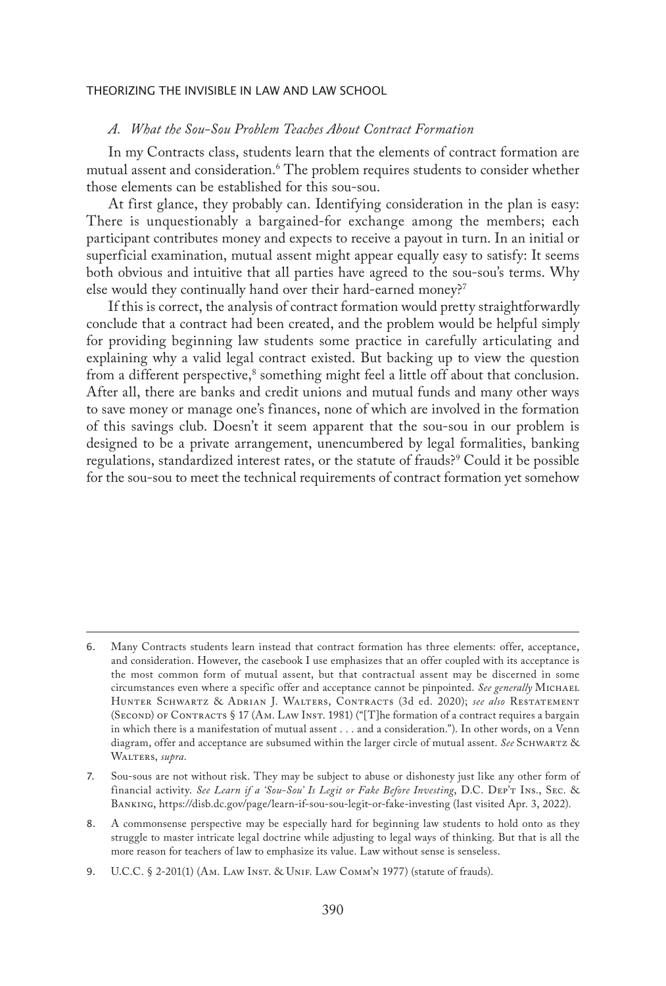#### *A. What the Sou-Sou Problem Teaches About Contract Formation*

In my Contracts class, students learn that the elements of contract formation are mutual assent and consideration.6 The problem requires students to consider whether those elements can be established for this sou-sou.

At first glance, they probably can. Identifying consideration in the plan is easy: There is unquestionably a bargained-for exchange among the members; each participant contributes money and expects to receive a payout in turn. In an initial or superficial examination, mutual assent might appear equally easy to satisfy: It seems both obvious and intuitive that all parties have agreed to the sou-sou's terms. Why else would they continually hand over their hard-earned money?<sup>7</sup>

If this is correct, the analysis of contract formation would pretty straightforwardly conclude that a contract had been created, and the problem would be helpful simply for providing beginning law students some practice in carefully articulating and explaining why a valid legal contract existed. But backing up to view the question from a different perspective,<sup>8</sup> something might feel a little off about that conclusion. After all, there are banks and credit unions and mutual funds and many other ways to save money or manage one's finances, none of which are involved in the formation of this savings club. Doesn't it seem apparent that the sou-sou in our problem is designed to be a private arrangement, unencumbered by legal formalities, banking regulations, standardized interest rates, or the statute of frauds?9 Could it be possible for the sou-sou to meet the technical requirements of contract formation yet somehow

<sup>6.</sup> Many Contracts students learn instead that contract formation has three elements: offer, acceptance, and consideration. However, the casebook I use emphasizes that an offer coupled with its acceptance is the most common form of mutual assent, but that contractual assent may be discerned in some circumstances even where a specific offer and acceptance cannot be pinpointed. *See generally* Michael Hunter Schwartz & Adrian J. Walters, Contracts (3d ed. 2020); *see also* Restatement (Second) of Contracts § 17 (Am. Law Inst. 1981) ("[T]he formation of a contract requires a bargain in which there is a manifestation of mutual assent . . . and a consideration."). In other words, on a Venn diagram, offer and acceptance are subsumed within the larger circle of mutual assent. *See* Schwartz & WALTERS, supra.

<sup>7.</sup> Sou-sous are not without risk. They may be subject to abuse or dishonesty just like any other form of financial activity. *See Learn if a 'Sou-Sou' Is Legit or Fake Before Investing*, D.C. Dep't Ins., Sec. & Banking, https://disb.dc.gov/page/learn-if-sou-sou-legit-or-fake-investing (last visited Apr. 3, 2022).

<sup>8.</sup> A commonsense perspective may be especially hard for beginning law students to hold onto as they struggle to master intricate legal doctrine while adjusting to legal ways of thinking. But that is all the more reason for teachers of law to emphasize its value. Law without sense is senseless.

<sup>9.</sup> U.C.C. § 2-201(1) (Ам. Law Inst. & Unif. Law Сомм' N1977) (statute of frauds).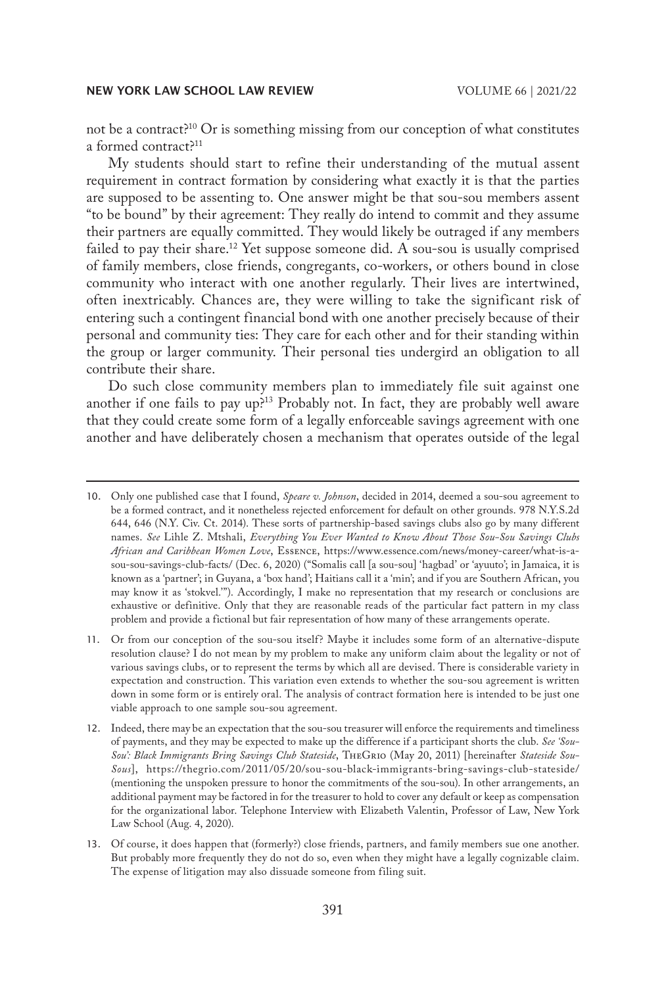not be a contract?<sup>10</sup> Or is something missing from our conception of what constitutes a formed contract?<sup>11</sup>

My students should start to refine their understanding of the mutual assent requirement in contract formation by considering what exactly it is that the parties are supposed to be assenting to. One answer might be that sou-sou members assent "to be bound" by their agreement: They really do intend to commit and they assume their partners are equally committed. They would likely be outraged if any members failed to pay their share.<sup>12</sup> Yet suppose someone did. A sou-sou is usually comprised of family members, close friends, congregants, co-workers, or others bound in close community who interact with one another regularly. Their lives are intertwined, often inextricably. Chances are, they were willing to take the significant risk of entering such a contingent financial bond with one another precisely because of their personal and community ties: They care for each other and for their standing within the group or larger community. Their personal ties undergird an obligation to all contribute their share.

Do such close community members plan to immediately file suit against one another if one fails to pay up?13 Probably not. In fact, they are probably well aware that they could create some form of a legally enforceable savings agreement with one another and have deliberately chosen a mechanism that operates outside of the legal

<sup>10.</sup> Only one published case that I found, *Speare v. Johnson*, decided in 2014, deemed a sou-sou agreement to be a formed contract, and it nonetheless rejected enforcement for default on other grounds. 978 N.Y.S.2d 644, 646 (N.Y. Civ. Ct. 2014). These sorts of partnership-based savings clubs also go by many different names. *See* Lihle Z. Mtshali, *Everything You Ever Wanted to Know About Those Sou-Sou Savings Clubs African and Caribbean Women Love*, Essence, https://www.essence.com/news/money-career/what-is-asou-sou-savings-club-facts/ (Dec. 6, 2020) ("Somalis call [a sou-sou] 'hagbad' or 'ayuuto'; in Jamaica, it is known as a 'partner'; in Guyana, a 'box hand'; Haitians call it a 'min'; and if you are Southern African, you may know it as 'stokvel.'"). Accordingly, I make no representation that my research or conclusions are exhaustive or definitive. Only that they are reasonable reads of the particular fact pattern in my class problem and provide a fictional but fair representation of how many of these arrangements operate.

<sup>11.</sup> Or from our conception of the sou-sou itself? Maybe it includes some form of an alternative-dispute resolution clause? I do not mean by my problem to make any uniform claim about the legality or not of various savings clubs, or to represent the terms by which all are devised. There is considerable variety in expectation and construction. This variation even extends to whether the sou-sou agreement is written down in some form or is entirely oral. The analysis of contract formation here is intended to be just one viable approach to one sample sou-sou agreement.

<sup>12.</sup> Indeed, there may be an expectation that the sou-sou treasurer will enforce the requirements and timeliness of payments, and they may be expected to make up the difference if a participant shorts the club. *See 'Sou-Sou': Black Immigrants Bring Savings Club Stateside*, TheGrio (May 20, 2011) [hereinafter *Stateside Sou-Sous*], https://thegrio.com/2011/05/20/sou-sou-black-immigrants-bring-savings-club-stateside/ (mentioning the unspoken pressure to honor the commitments of the sou-sou). In other arrangements, an additional payment may be factored in for the treasurer to hold to cover any default or keep as compensation for the organizational labor. Telephone Interview with Elizabeth Valentin, Professor of Law, New York Law School (Aug. 4, 2020).

<sup>13.</sup> Of course, it does happen that (formerly?) close friends, partners, and family members sue one another. But probably more frequently they do not do so, even when they might have a legally cognizable claim. The expense of litigation may also dissuade someone from filing suit.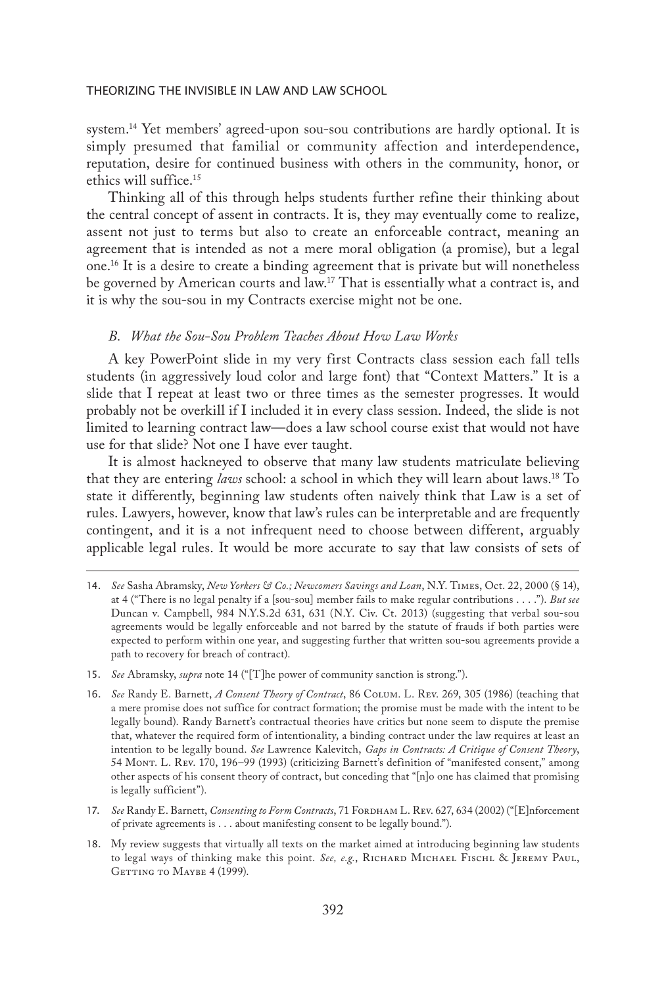system.14 Yet members' agreed-upon sou-sou contributions are hardly optional. It is simply presumed that familial or community affection and interdependence, reputation, desire for continued business with others in the community, honor, or ethics will suffice.15

Thinking all of this through helps students further refine their thinking about the central concept of assent in contracts. It is, they may eventually come to realize, assent not just to terms but also to create an enforceable contract, meaning an agreement that is intended as not a mere moral obligation (a promise), but a legal one.16 It is a desire to create a binding agreement that is private but will nonetheless be governed by American courts and law.<sup>17</sup> That is essentially what a contract is, and it is why the sou-sou in my Contracts exercise might not be one.

# *B. What the Sou-Sou Problem Teaches About How Law Works*

A key PowerPoint slide in my very first Contracts class session each fall tells students (in aggressively loud color and large font) that "Context Matters." It is a slide that I repeat at least two or three times as the semester progresses. It would probably not be overkill if I included it in every class session. Indeed, the slide is not limited to learning contract law—does a law school course exist that would not have use for that slide? Not one I have ever taught.

It is almost hackneyed to observe that many law students matriculate believing that they are entering *laws* school: a school in which they will learn about laws.18 To state it differently, beginning law students often naively think that Law is a set of rules. Lawyers, however, know that law's rules can be interpretable and are frequently contingent, and it is a not infrequent need to choose between different, arguably applicable legal rules. It would be more accurate to say that law consists of sets of

- 15. *See* Abramsky, *supra* note 14 ("[T]he power of community sanction is strong.").
- 16. *See* Randy E. Barnett, *A Consent Theory of Contract*, 86 Colum. L. Rev. 269, 305 (1986) (teaching that a mere promise does not suffice for contract formation; the promise must be made with the intent to be legally bound). Randy Barnett's contractual theories have critics but none seem to dispute the premise that, whatever the required form of intentionality, a binding contract under the law requires at least an intention to be legally bound. *See* Lawrence Kalevitch, *Gaps in Contracts: A Critique of Consent Theory*, 54 Mont. L. Rev. 170, 196–99 (1993) (criticizing Barnett's definition of "manifested consent," among other aspects of his consent theory of contract, but conceding that "[n]o one has claimed that promising is legally sufficient").
- 17. *See* Randy E. Barnett, *Consenting to Form Contracts*, 71 FORDHAM L. REV. 627, 634 (2002) ("[E]nforcement of private agreements is . . . about manifesting consent to be legally bound.").
- 18. My review suggests that virtually all texts on the market aimed at introducing beginning law students to legal ways of thinking make this point. *See, e.g.*, RICHARD MICHAEL FISCHL & JEREMY PAUL, GETTING TO MAYBE 4 (1999).

<sup>14.</sup> *See* Sasha Abramsky, *New Yorkers & Co.; Newcomers Savings and Loan*, N.Y. Times, Oct. 22, 2000 (§ 14), at 4 ("There is no legal penalty if a [sou-sou] member fails to make regular contributions . . . ."). *But see* Duncan v. Campbell, 984 N.Y.S.2d 631, 631 (N.Y. Civ. Ct. 2013) (suggesting that verbal sou-sou agreements would be legally enforceable and not barred by the statute of frauds if both parties were expected to perform within one year, and suggesting further that written sou-sou agreements provide a path to recovery for breach of contract).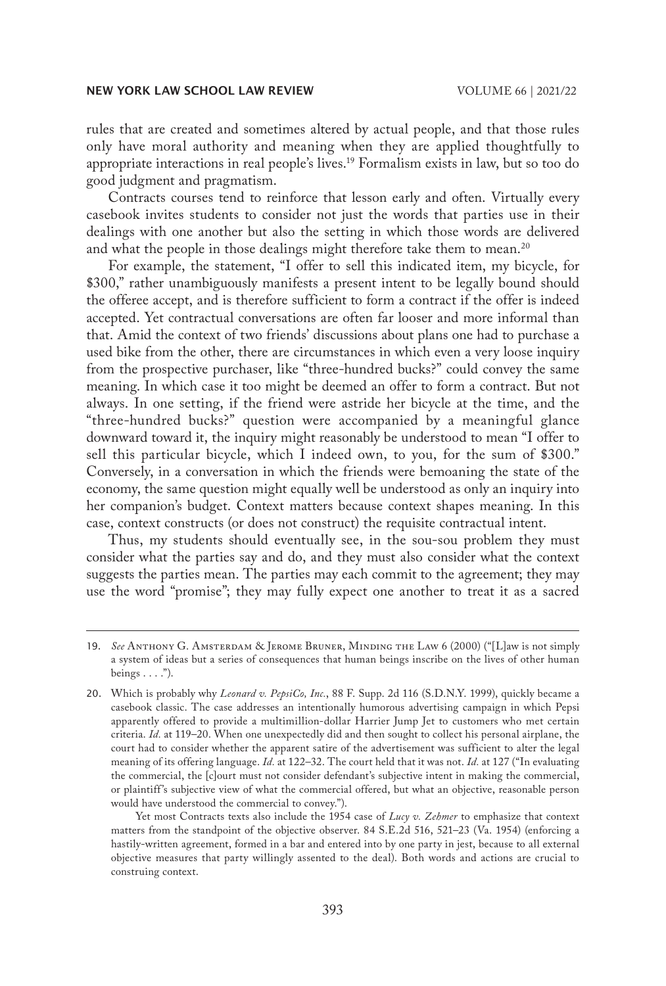rules that are created and sometimes altered by actual people, and that those rules only have moral authority and meaning when they are applied thoughtfully to appropriate interactions in real people's lives.<sup>19</sup> Formalism exists in law, but so too do good judgment and pragmatism.

Contracts courses tend to reinforce that lesson early and often. Virtually every casebook invites students to consider not just the words that parties use in their dealings with one another but also the setting in which those words are delivered and what the people in those dealings might therefore take them to mean.<sup>20</sup>

For example, the statement, "I offer to sell this indicated item, my bicycle, for \$300," rather unambiguously manifests a present intent to be legally bound should the offeree accept, and is therefore sufficient to form a contract if the offer is indeed accepted. Yet contractual conversations are often far looser and more informal than that. Amid the context of two friends' discussions about plans one had to purchase a used bike from the other, there are circumstances in which even a very loose inquiry from the prospective purchaser, like "three-hundred bucks?" could convey the same meaning. In which case it too might be deemed an offer to form a contract. But not always. In one setting, if the friend were astride her bicycle at the time, and the "three-hundred bucks?" question were accompanied by a meaningful glance downward toward it, the inquiry might reasonably be understood to mean "I offer to sell this particular bicycle, which I indeed own, to you, for the sum of \$300." Conversely, in a conversation in which the friends were bemoaning the state of the economy, the same question might equally well be understood as only an inquiry into her companion's budget. Context matters because context shapes meaning. In this case, context constructs (or does not construct) the requisite contractual intent.

Thus, my students should eventually see, in the sou-sou problem they must consider what the parties say and do, and they must also consider what the context suggests the parties mean. The parties may each commit to the agreement; they may use the word "promise"; they may fully expect one another to treat it as a sacred

<sup>19.</sup> *See* Anthony G. Amsterdam & Jerome Bruner, Minding the Law 6 (2000) ("[L]aw is not simply a system of ideas but a series of consequences that human beings inscribe on the lives of other human beings  $\dots$ .").

<sup>20.</sup> Which is probably why *Leonard v. PepsiCo, Inc.*, 88 F. Supp. 2d 116 (S.D.N.Y. 1999), quickly became a casebook classic. The case addresses an intentionally humorous advertising campaign in which Pepsi apparently offered to provide a multimillion-dollar Harrier Jump Jet to customers who met certain criteria. *Id.* at 119–20. When one unexpectedly did and then sought to collect his personal airplane, the court had to consider whether the apparent satire of the advertisement was sufficient to alter the legal meaning of its offering language. *Id.* at 122–32. The court held that it was not. *Id.* at 127 ("In evaluating the commercial, the [c]ourt must not consider defendant's subjective intent in making the commercial, or plaintiff's subjective view of what the commercial offered, but what an objective, reasonable person would have understood the commercial to convey.").

Yet most Contracts texts also include the 1954 case of *Lucy v. Zehmer* to emphasize that context matters from the standpoint of the objective observer. 84 S.E.2d 516, 521–23 (Va. 1954) (enforcing a hastily-written agreement, formed in a bar and entered into by one party in jest, because to all external objective measures that party willingly assented to the deal). Both words and actions are crucial to construing context.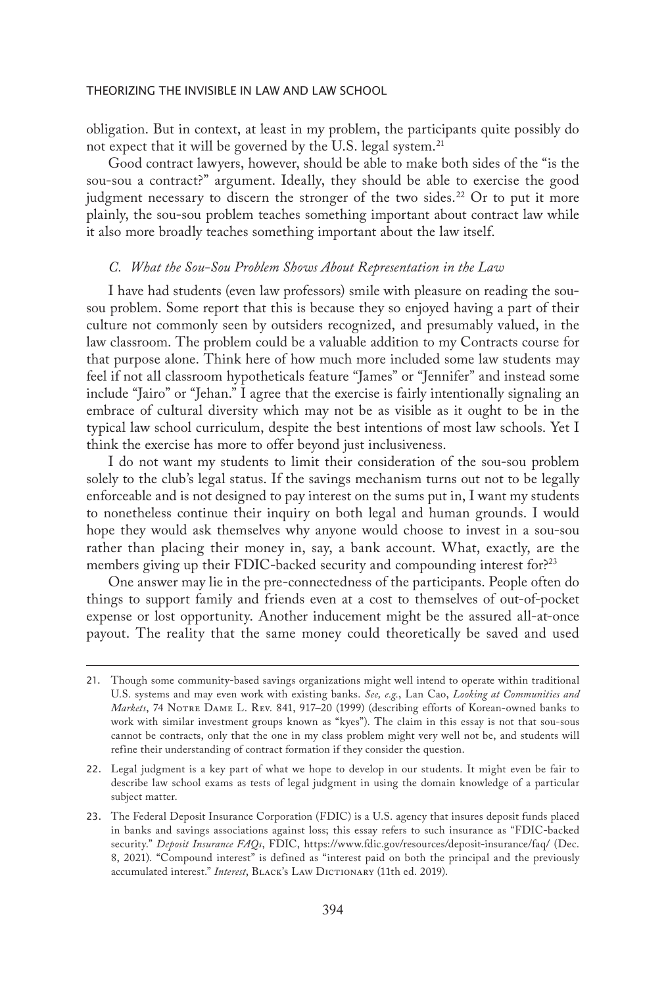obligation. But in context, at least in my problem, the participants quite possibly do not expect that it will be governed by the U.S. legal system.<sup>21</sup>

Good contract lawyers, however, should be able to make both sides of the "is the sou-sou a contract?" argument. Ideally, they should be able to exercise the good judgment necessary to discern the stronger of the two sides.<sup>22</sup> Or to put it more plainly, the sou-sou problem teaches something important about contract law while it also more broadly teaches something important about the law itself.

#### *C. What the Sou-Sou Problem Shows About Representation in the Law*

I have had students (even law professors) smile with pleasure on reading the sousou problem. Some report that this is because they so enjoyed having a part of their culture not commonly seen by outsiders recognized, and presumably valued, in the law classroom. The problem could be a valuable addition to my Contracts course for that purpose alone. Think here of how much more included some law students may feel if not all classroom hypotheticals feature "James" or "Jennifer" and instead some include "Jairo" or "Jehan." I agree that the exercise is fairly intentionally signaling an embrace of cultural diversity which may not be as visible as it ought to be in the typical law school curriculum, despite the best intentions of most law schools. Yet I think the exercise has more to offer beyond just inclusiveness.

I do not want my students to limit their consideration of the sou-sou problem solely to the club's legal status. If the savings mechanism turns out not to be legally enforceable and is not designed to pay interest on the sums put in, I want my students to nonetheless continue their inquiry on both legal and human grounds. I would hope they would ask themselves why anyone would choose to invest in a sou-sou rather than placing their money in, say, a bank account. What, exactly, are the members giving up their FDIC-backed security and compounding interest for?<sup>23</sup>

One answer may lie in the pre-connectedness of the participants. People often do things to support family and friends even at a cost to themselves of out-of-pocket expense or lost opportunity. Another inducement might be the assured all-at-once payout. The reality that the same money could theoretically be saved and used

<sup>21.</sup> Though some community-based savings organizations might well intend to operate within traditional U.S. systems and may even work with existing banks. *See, e.g.*, Lan Cao, *Looking at Communities and*  Markets, 74 NOTRE DAME L. REV. 841, 917-20 (1999) (describing efforts of Korean-owned banks to work with similar investment groups known as "kyes"). The claim in this essay is not that sou-sous cannot be contracts, only that the one in my class problem might very well not be, and students will refine their understanding of contract formation if they consider the question.

<sup>22.</sup> Legal judgment is a key part of what we hope to develop in our students. It might even be fair to describe law school exams as tests of legal judgment in using the domain knowledge of a particular subject matter.

<sup>23.</sup> The Federal Deposit Insurance Corporation (FDIC) is a U.S. agency that insures deposit funds placed in banks and savings associations against loss; this essay refers to such insurance as "FDIC-backed security." *Deposit Insurance FAQs*, FDIC, https://www.fdic.gov/resources/deposit-insurance/faq/ (Dec. 8, 2021). "Compound interest" is defined as "interest paid on both the principal and the previously accumulated interest." *Interest*, BLACK's LAW DICTIONARY (11th ed. 2019).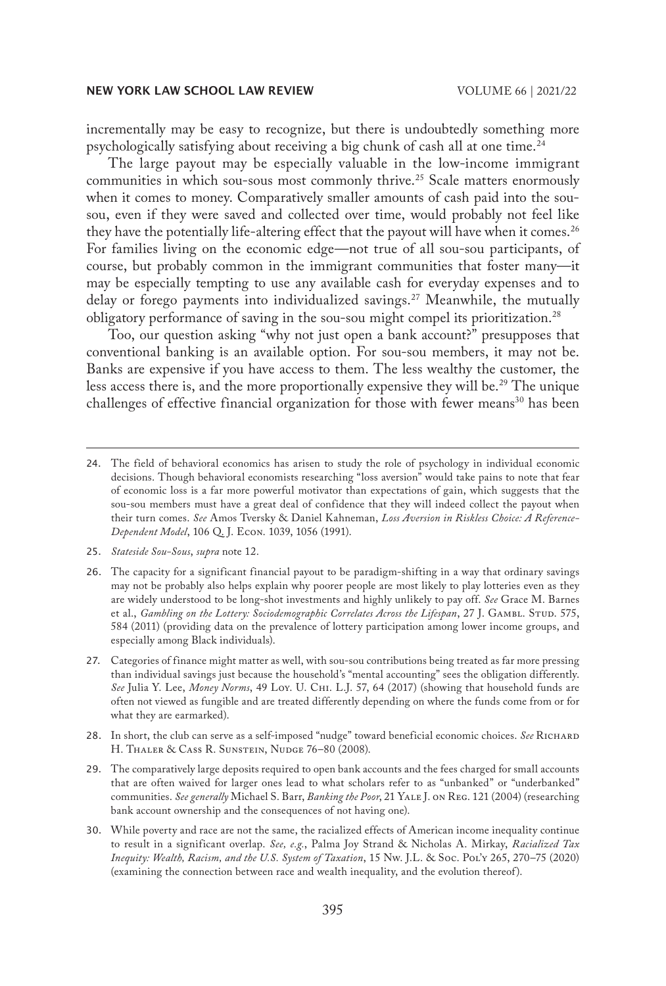incrementally may be easy to recognize, but there is undoubtedly something more psychologically satisfying about receiving a big chunk of cash all at one time.24

The large payout may be especially valuable in the low-income immigrant communities in which sou-sous most commonly thrive.<sup>25</sup> Scale matters enormously when it comes to money. Comparatively smaller amounts of cash paid into the sousou, even if they were saved and collected over time, would probably not feel like they have the potentially life-altering effect that the payout will have when it comes.<sup>26</sup> For families living on the economic edge—not true of all sou-sou participants, of course, but probably common in the immigrant communities that foster many—it may be especially tempting to use any available cash for everyday expenses and to delay or forego payments into individualized savings.<sup>27</sup> Meanwhile, the mutually obligatory performance of saving in the sou-sou might compel its prioritization.28

Too, our question asking "why not just open a bank account?" presupposes that conventional banking is an available option. For sou-sou members, it may not be. Banks are expensive if you have access to them. The less wealthy the customer, the less access there is, and the more proportionally expensive they will be.<sup>29</sup> The unique challenges of effective financial organization for those with fewer means<sup>30</sup> has been

- 25. *Stateside Sou-Sous*, *supra* note 12.
- 26. The capacity for a significant financial payout to be paradigm-shifting in a way that ordinary savings may not be probably also helps explain why poorer people are most likely to play lotteries even as they are widely understood to be long-shot investments and highly unlikely to pay off. *See* Grace M. Barnes et al., *Gambling on the Lottery: Sociodemographic Correlates Across the Lifespan*, 27 J. GAMBL. STUD. 575, 584 (2011) (providing data on the prevalence of lottery participation among lower income groups, and especially among Black individuals).
- 27. Categories of finance might matter as well, with sou-sou contributions being treated as far more pressing than individual savings just because the household's "mental accounting" sees the obligation differently. *See* Julia Y. Lee, *Money Norms*, 49 Loy. U. Chi. L.J. 57, 64 (2017) (showing that household funds are often not viewed as fungible and are treated differently depending on where the funds come from or for what they are earmarked).
- 28. In short, the club can serve as a self-imposed "nudge" toward beneficial economic choices. *See* Richard H. THALER & CASS R. SUNSTEIN, NUDGE 76-80 (2008).
- 29. The comparatively large deposits required to open bank accounts and the fees charged for small accounts that are often waived for larger ones lead to what scholars refer to as "unbanked" or "underbanked" communities. *See generally* Michael S. Barr, *Banking the Poor*, 21 Yale J. on Reg. 121 (2004) (researching bank account ownership and the consequences of not having one).
- 30. While poverty and race are not the same, the racialized effects of American income inequality continue to result in a significant overlap. *See, e.g.*, Palma Joy Strand & Nicholas A. Mirkay, *Racialized Tax Inequity: Wealth, Racism, and the U.S. System of Taxation*, 15 Nw. J.L. & Soc. Pol'y 265, 270–75 (2020) (examining the connection between race and wealth inequality, and the evolution thereof).

<sup>24.</sup> The field of behavioral economics has arisen to study the role of psychology in individual economic decisions. Though behavioral economists researching "loss aversion" would take pains to note that fear of economic loss is a far more powerful motivator than expectations of gain, which suggests that the sou-sou members must have a great deal of confidence that they will indeed collect the payout when their turn comes. *See* Amos Tversky & Daniel Kahneman, *Loss Aversion in Riskless Choice: A Reference-Dependent Model*, 106 Q. J. Econ. 1039, 1056 (1991).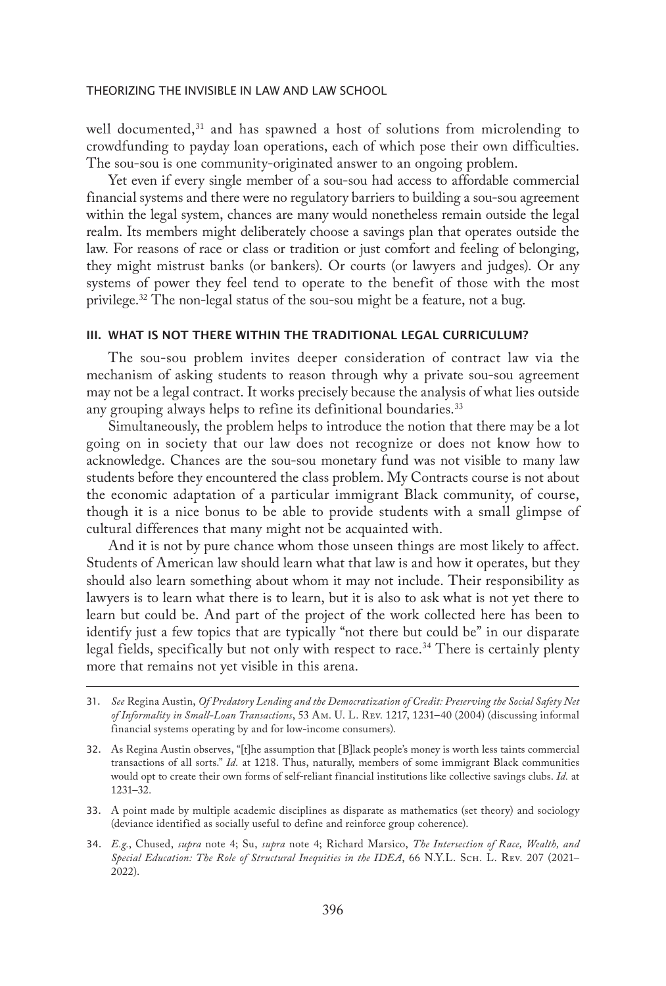well documented, $31$  and has spawned a host of solutions from microlending to crowdfunding to payday loan operations, each of which pose their own difficulties. The sou-sou is one community-originated answer to an ongoing problem.

Yet even if every single member of a sou-sou had access to affordable commercial financial systems and there were no regulatory barriers to building a sou-sou agreement within the legal system, chances are many would nonetheless remain outside the legal realm. Its members might deliberately choose a savings plan that operates outside the law. For reasons of race or class or tradition or just comfort and feeling of belonging, they might mistrust banks (or bankers). Or courts (or lawyers and judges). Or any systems of power they feel tend to operate to the benefit of those with the most privilege.<sup>32</sup> The non-legal status of the sou-sou might be a feature, not a bug.

## III. WHAT IS NOT THERE WITHIN THE TRADITIONAL LEGAL CURRICULUM?

The sou-sou problem invites deeper consideration of contract law via the mechanism of asking students to reason through why a private sou-sou agreement may not be a legal contract. It works precisely because the analysis of what lies outside any grouping always helps to refine its definitional boundaries.<sup>33</sup>

Simultaneously, the problem helps to introduce the notion that there may be a lot going on in society that our law does not recognize or does not know how to acknowledge. Chances are the sou-sou monetary fund was not visible to many law students before they encountered the class problem. My Contracts course is not about the economic adaptation of a particular immigrant Black community, of course, though it is a nice bonus to be able to provide students with a small glimpse of cultural differences that many might not be acquainted with.

And it is not by pure chance whom those unseen things are most likely to affect. Students of American law should learn what that law is and how it operates, but they should also learn something about whom it may not include. Their responsibility as lawyers is to learn what there is to learn, but it is also to ask what is not yet there to learn but could be. And part of the project of the work collected here has been to identify just a few topics that are typically "not there but could be" in our disparate legal fields, specifically but not only with respect to race.<sup>34</sup> There is certainly plenty more that remains not yet visible in this arena.

<sup>31.</sup> *See* Regina Austin, *Of Predatory Lending and the Democratization of Credit: Preserving the Social Safety Net of Informality in Small-Loan Transactions*, 53 Am. U. L. Rev. 1217, 1231–40 (2004) (discussing informal financial systems operating by and for low-income consumers).

<sup>32.</sup> As Regina Austin observes, "[t]he assumption that [B]lack people's money is worth less taints commercial transactions of all sorts." *Id.* at 1218. Thus, naturally, members of some immigrant Black communities would opt to create their own forms of self-reliant financial institutions like collective savings clubs. *Id.* at 1231–32.

<sup>33.</sup> A point made by multiple academic disciplines as disparate as mathematics (set theory) and sociology (deviance identified as socially useful to define and reinforce group coherence).

<sup>34.</sup> *E.g.*, Chused, *supra* note 4; Su, *supra* note 4; Richard Marsico, *The Intersection of Race, Wealth, and Special Education: The Role of Structural Inequities in the IDEA*, 66 N.Y.L. Sch. L. Rev. 207 (2021– 2022).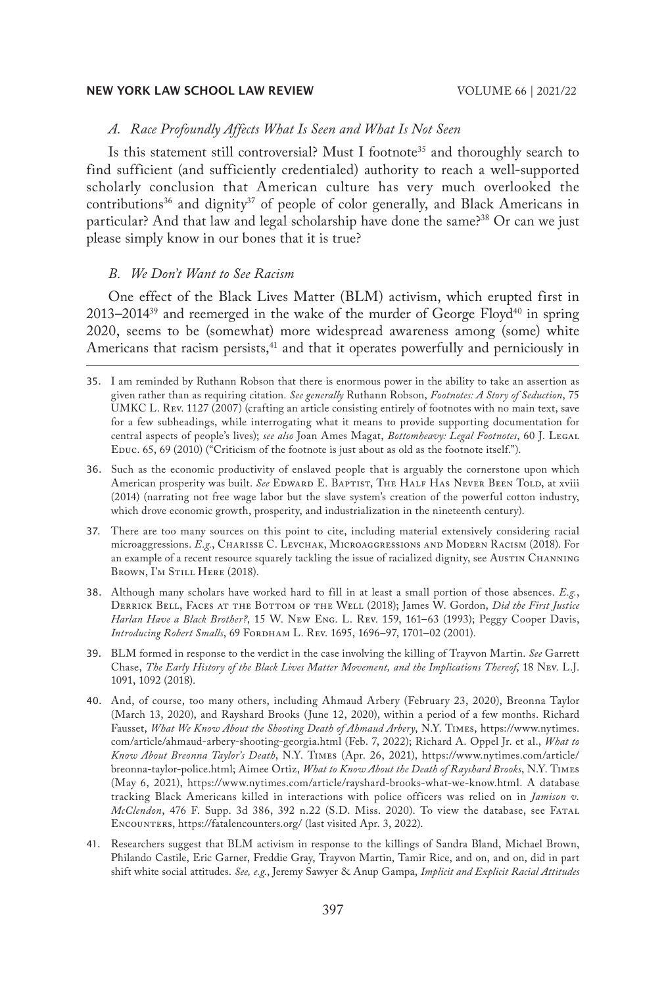# *A. Race Profoundly Affects What Is Seen and What Is Not Seen*

Is this statement still controversial? Must I footnote<sup>35</sup> and thoroughly search to find sufficient (and sufficiently credentialed) authority to reach a well-supported scholarly conclusion that American culture has very much overlooked the contributions<sup>36</sup> and dignity<sup>37</sup> of people of color generally, and Black Americans in particular? And that law and legal scholarship have done the same?<sup>38</sup> Or can we just please simply know in our bones that it is true?

# *B. We Don't Want to See Racism*

One effect of the Black Lives Matter (BLM) activism, which erupted first in  $2013-2014^{39}$  and reemerged in the wake of the murder of George Floyd<sup>40</sup> in spring 2020, seems to be (somewhat) more widespread awareness among (some) white Americans that racism persists,<sup>41</sup> and that it operates powerfully and perniciously in

- 36. Such as the economic productivity of enslaved people that is arguably the cornerstone upon which American prosperity was built. See EDWARD E. BAPTIST, THE HALF HAS NEVER BEEN TOLD, at xviii (2014) (narrating not free wage labor but the slave system's creation of the powerful cotton industry, which drove economic growth, prosperity, and industrialization in the nineteenth century).
- 37. There are too many sources on this point to cite, including material extensively considering racial microaggressions. *E.g.*, Charisse C. Levchak, Microaggressions and Modern Racism (2018). For an example of a recent resource squarely tackling the issue of racialized dignity, see Austin Channing BROWN, I'M STILL HERE (2018).
- 38. Although many scholars have worked hard to fill in at least a small portion of those absences. *E.g.*, Derrick Bell, Faces at the Bottom of the Well (2018); James W. Gordon, *Did the First Justice Harlan Have a Black Brother?*, 15 W. New Eng. L. Rev. 159, 161–63 (1993); Peggy Cooper Davis, *Introducing Robert Smalls*, 69 *FORDHAM L. REV.* 1695, 1696-97, 1701-02 (2001).
- 39. BLM formed in response to the verdict in the case involving the killing of Trayvon Martin. *See* Garrett Chase, *The Early History of the Black Lives Matter Movement, and the Implications Thereof*, 18 Nev. L.J. 1091, 1092 (2018).
- 40. And, of course, too many others, including Ahmaud Arbery (February 23, 2020), Breonna Taylor (March 13, 2020), and Rayshard Brooks (June 12, 2020), within a period of a few months. Richard Fausset, *What We Know About the Shooting Death of Ahmaud Arbery*, N.Y. Times, https://www.nytimes. com/article/ahmaud-arbery-shooting-georgia.html (Feb. 7, 2022); Richard A. Oppel Jr. et al., *What to Know About Breonna Taylor's Death*, N.Y. Times (Apr. 26, 2021), https://www.nytimes.com/article/ breonna-taylor-police.html; Aimee Ortiz, *What to Know About the Death of Rayshard Brooks*, N.Y. Times (May 6, 2021), https://www.nytimes.com/article/rayshard-brooks-what-we-know.html. A database tracking Black Americans killed in interactions with police officers was relied on in *Jamison v. McClendon*, 476 F. Supp. 3d 386, 392 n.22 (S.D. Miss. 2020). To view the database, see Fatal Encounters, https://fatalencounters.org/ (last visited Apr. 3, 2022).
- 41. Researchers suggest that BLM activism in response to the killings of Sandra Bland, Michael Brown, Philando Castile, Eric Garner, Freddie Gray, Trayvon Martin, Tamir Rice, and on, and on, did in part shift white social attitudes. *See, e.g.*, Jeremy Sawyer & Anup Gampa, *Implicit and Explicit Racial Attitudes*

<sup>35.</sup> I am reminded by Ruthann Robson that there is enormous power in the ability to take an assertion as given rather than as requiring citation. *See generally* Ruthann Robson, *Footnotes: A Story of Seduction*, 75 UMKC L. Rev. 1127 (2007) (crafting an article consisting entirely of footnotes with no main text, save for a few subheadings, while interrogating what it means to provide supporting documentation for central aspects of people's lives); *see also* Joan Ames Magat, *Bottomheavy: Legal Footnotes*, 60 J. Legal Educ. 65, 69 (2010) ("Criticism of the footnote is just about as old as the footnote itself.").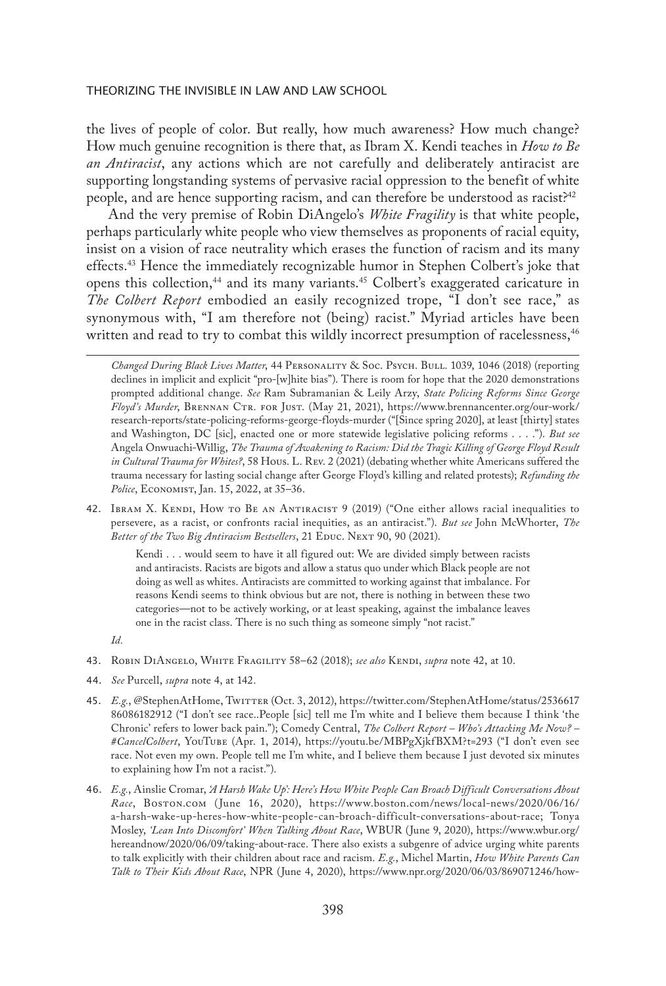the lives of people of color. But really, how much awareness? How much change? How much genuine recognition is there that, as Ibram X. Kendi teaches in *How to Be an Antiracist*, any actions which are not carefully and deliberately antiracist are supporting longstanding systems of pervasive racial oppression to the benefit of white people, and are hence supporting racism, and can therefore be understood as racist?<sup>42</sup>

And the very premise of Robin DiAngelo's *White Fragility* is that white people, perhaps particularly white people who view themselves as proponents of racial equity, insist on a vision of race neutrality which erases the function of racism and its many effects.<sup>43</sup> Hence the immediately recognizable humor in Stephen Colbert's joke that opens this collection,<sup>44</sup> and its many variants.<sup>45</sup> Colbert's exaggerated caricature in *The Colbert Report* embodied an easily recognized trope, "I don't see race," as synonymous with, "I am therefore not (being) racist." Myriad articles have been written and read to try to combat this wildly incorrect presumption of racelessness,<sup>46</sup>

42. Ibram X. Kendi, How to Be an Antiracist 9 (2019) ("One either allows racial inequalities to persevere, as a racist, or confronts racial inequities, as an antiracist."). *But see* John McWhorter, *The*  Better of the Two Big Antiracism Bestsellers, 21 EDUC. NEXT 90, 90 (2021).

> Kendi . . . would seem to have it all figured out: We are divided simply between racists and antiracists. Racists are bigots and allow a status quo under which Black people are not doing as well as whites. Antiracists are committed to working against that imbalance. For reasons Kendi seems to think obvious but are not, there is nothing in between these two categories—not to be actively working, or at least speaking, against the imbalance leaves one in the racist class. There is no such thing as someone simply "not racist."

*Id.*

- 43. Robin DiAngelo, White Fragility 58–62 (2018); *see also* Kendi, *supra* note 42, at 10.
- 44. *See* Purcell, *supra* note 4, at 142.
- 45. E.g., @StephenAtHome, TwiTTER (Oct. 3, 2012), https://twitter.com/StephenAtHome/status/2536617 86086182912 ("I don't see race..People [sic] tell me I'm white and I believe them because I think 'the Chronic' refers to lower back pain."); Comedy Central, *The Colbert Report – Who's Attacking Me Now? – #CancelColbert*, YouTube (Apr. 1, 2014), https://youtu.be/MBPgXjkfBXM?t=293 ("I don't even see race. Not even my own. People tell me I'm white, and I believe them because I just devoted six minutes to explaining how I'm not a racist.").
- 46. *E.g.*, Ainslie Cromar, *'A Harsh Wake Up': Here's How White People Can Broach Difficult Conversations About Race*, Boston.com (June 16, 2020), https://www.boston.com/news/local-news/2020/06/16/ a-harsh-wake-up-heres-how-white-people-can-broach-difficult-conversations-about-race; Tonya Mosley, *'Lean Into Discomfort' When Talking About Race*, WBUR (June 9, 2020), https://www.wbur.org/ hereandnow/2020/06/09/taking-about-race. There also exists a subgenre of advice urging white parents to talk explicitly with their children about race and racism. *E.g.*, Michel Martin, *How White Parents Can Talk to Their Kids About Race*, NPR (June 4, 2020), https://www.npr.org/2020/06/03/869071246/how-

*Changed During Black Lives Matter*, 44 Personality & Soc. Psych. Bull. 1039, 1046 (2018) (reporting declines in implicit and explicit "pro-[w]hite bias"). There is room for hope that the 2020 demonstrations prompted additional change. *See* Ram Subramanian & Leily Arzy, *State Policing Reforms Since George Floyd's Murder*, Brennan Ctr. for Just. (May 21, 2021), https://www.brennancenter.org/our-work/ research-reports/state-policing-reforms-george-floyds-murder ("[Since spring 2020], at least [thirty] states and Washington, DC [sic], enacted one or more statewide legislative policing reforms . . . ."). *But see*  Angela Onwuachi-Willig, *The Trauma of Awakening to Racism: Did the Tragic Killing of George Floyd Result in Cultural Trauma for Whites?*, 58 Hous. L. Rev. 2 (2021) (debating whether white Americans suffered the trauma necessary for lasting social change after George Floyd's killing and related protests); *Refunding the Police*, Economist, Jan. 15, 2022, at 35–36.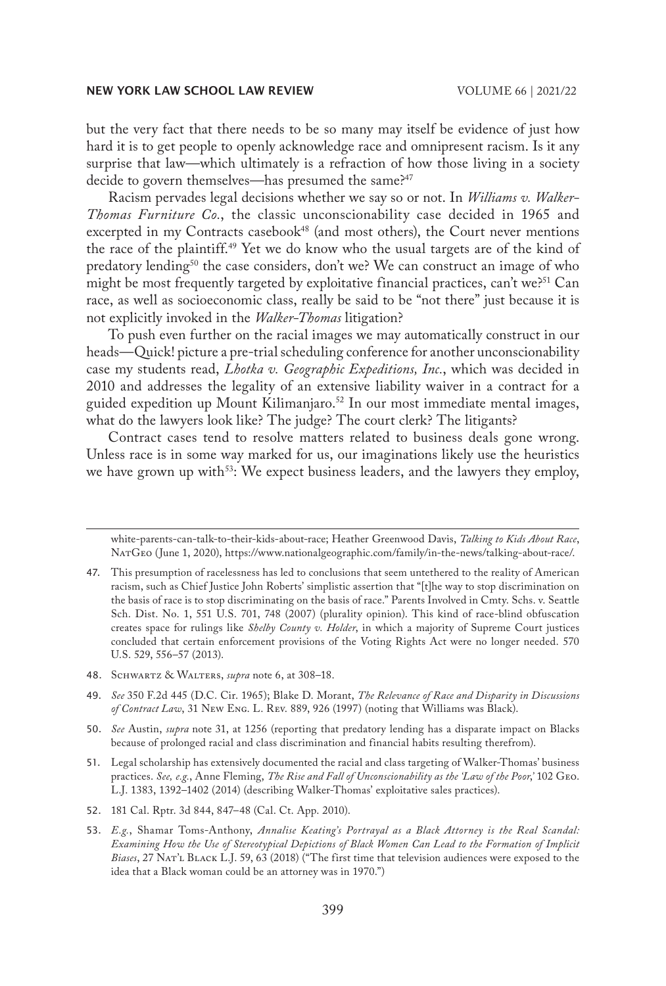but the very fact that there needs to be so many may itself be evidence of just how hard it is to get people to openly acknowledge race and omnipresent racism. Is it any surprise that law—which ultimately is a refraction of how those living in a society decide to govern themselves—has presumed the same?<sup>47</sup>

Racism pervades legal decisions whether we say so or not. In *Williams v. Walker-Thomas Furniture Co.*, the classic unconscionability case decided in 1965 and excerpted in my Contracts casebook<sup>48</sup> (and most others), the Court never mentions the race of the plaintiff.49 Yet we do know who the usual targets are of the kind of predatory lending<sup>50</sup> the case considers, don't we? We can construct an image of who might be most frequently targeted by exploitative financial practices, can't we?<sup>51</sup> Can race, as well as socioeconomic class, really be said to be "not there" just because it is not explicitly invoked in the *Walker-Thomas* litigation?

To push even further on the racial images we may automatically construct in our heads—Quick! picture a pre-trial scheduling conference for another unconscionability case my students read, *Lhotka v. Geographic Expeditions, Inc.*, which was decided in 2010 and addresses the legality of an extensive liability waiver in a contract for a guided expedition up Mount Kilimanjaro.<sup>52</sup> In our most immediate mental images, what do the lawyers look like? The judge? The court clerk? The litigants?

Contract cases tend to resolve matters related to business deals gone wrong. Unless race is in some way marked for us, our imaginations likely use the heuristics we have grown up with<sup>53</sup>: We expect business leaders, and the lawyers they employ,

48. Schwartz & Walters, *supra* note 6, at 308–18.

white-parents-can-talk-to-their-kids-about-race; Heather Greenwood Davis, *Talking to Kids About Race*, NatGeo (June 1, 2020), https://www.nationalgeographic.com/family/in-the-news/talking-about-race/.

<sup>47.</sup> This presumption of racelessness has led to conclusions that seem untethered to the reality of American racism, such as Chief Justice John Roberts' simplistic assertion that "[t]he way to stop discrimination on the basis of race is to stop discriminating on the basis of race." Parents Involved in Cmty. Schs. v. Seattle Sch. Dist. No. 1, 551 U.S. 701, 748 (2007) (plurality opinion). This kind of race-blind obfuscation creates space for rulings like *Shelby County v. Holder*, in which a majority of Supreme Court justices concluded that certain enforcement provisions of the Voting Rights Act were no longer needed. 570 U.S. 529, 556–57 (2013).

<sup>49.</sup> *See* 350 F.2d 445 (D.C. Cir. 1965); Blake D. Morant, *The Relevance of Race and Disparity in Discussions of Contract Law*, 31 New Eng. L. Rev. 889, 926 (1997) (noting that Williams was Black).

<sup>50.</sup> *See* Austin, *supra* note 31, at 1256 (reporting that predatory lending has a disparate impact on Blacks because of prolonged racial and class discrimination and financial habits resulting therefrom).

<sup>51.</sup> Legal scholarship has extensively documented the racial and class targeting of Walker-Thomas' business practices. *See, e.g.*, Anne Fleming, *The Rise and Fall of Unconscionability as the 'Law of the Poor*,*'* 102 Geo. L.J. 1383, 1392–1402 (2014) (describing Walker-Thomas' exploitative sales practices).

<sup>52.</sup> 181 Cal. Rptr. 3d 844, 847–48 (Cal. Ct. App. 2010).

<sup>53.</sup> *E.g.*, Shamar Toms-Anthony, *Annalise Keating's Portrayal as a Black Attorney is the Real Scandal: Examining How the Use of Stereotypical Depictions of Black Women Can Lead to the Formation of Implicit Biases*, 27 Nat'l Black L.J. 59, 63 (2018) ("The first time that television audiences were exposed to the idea that a Black woman could be an attorney was in 1970.")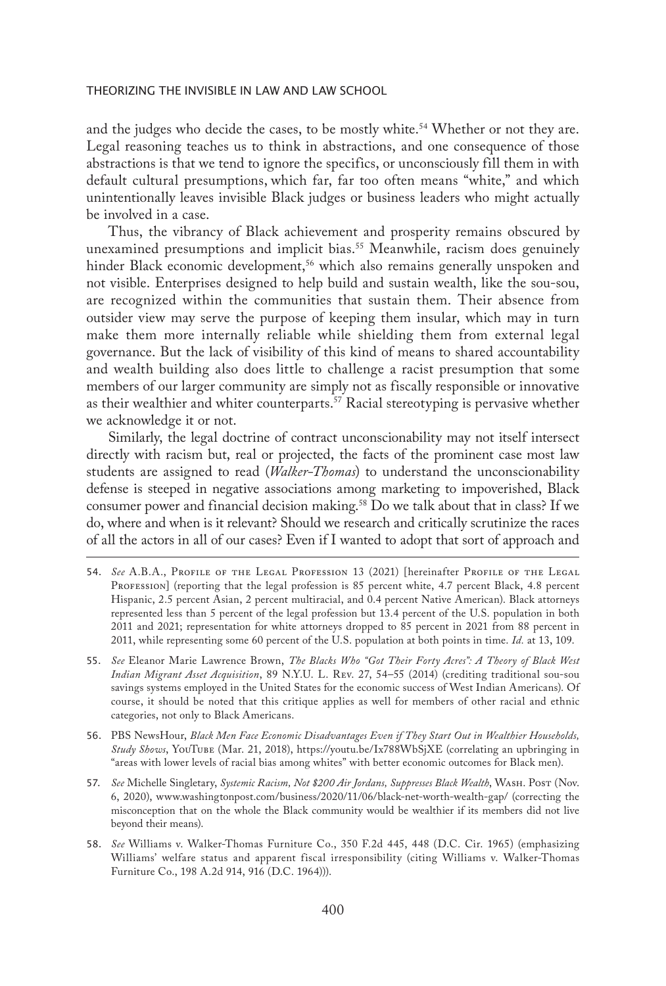and the judges who decide the cases, to be mostly white.<sup>54</sup> Whether or not they are. Legal reasoning teaches us to think in abstractions, and one consequence of those abstractions is that we tend to ignore the specifics, or unconsciously fill them in with default cultural presumptions, which far, far too often means "white," and which unintentionally leaves invisible Black judges or business leaders who might actually be involved in a case.

Thus, the vibrancy of Black achievement and prosperity remains obscured by unexamined presumptions and implicit bias.<sup>55</sup> Meanwhile, racism does genuinely hinder Black economic development,<sup>56</sup> which also remains generally unspoken and not visible. Enterprises designed to help build and sustain wealth, like the sou-sou, are recognized within the communities that sustain them. Their absence from outsider view may serve the purpose of keeping them insular, which may in turn make them more internally reliable while shielding them from external legal governance. But the lack of visibility of this kind of means to shared accountability and wealth building also does little to challenge a racist presumption that some members of our larger community are simply not as fiscally responsible or innovative as their wealthier and whiter counterparts.<sup>57</sup> Racial stereotyping is pervasive whether we acknowledge it or not.

Similarly, the legal doctrine of contract unconscionability may not itself intersect directly with racism but, real or projected, the facts of the prominent case most law students are assigned to read (*Walker-Thomas*) to understand the unconscionability defense is steeped in negative associations among marketing to impoverished, Black consumer power and financial decision making.58 Do we talk about that in class? If we do, where and when is it relevant? Should we research and critically scrutinize the races of all the actors in all of our cases? Even if I wanted to adopt that sort of approach and

- 54. *See* A.B.A., Profile of the Legal Profession 13 (2021) [hereinafter Profile of the Legal PROFESSION] (reporting that the legal profession is 85 percent white, 4.7 percent Black, 4.8 percent Hispanic, 2.5 percent Asian, 2 percent multiracial, and 0.4 percent Native American). Black attorneys represented less than 5 percent of the legal profession but 13.4 percent of the U.S. population in both 2011 and 2021; representation for white attorneys dropped to 85 percent in 2021 from 88 percent in 2011, while representing some 60 percent of the U.S. population at both points in time. *Id.* at 13, 109.
- 55. *See* Eleanor Marie Lawrence Brown, *The Blacks Who "Got Their Forty Acres": A Theory of Black West Indian Migrant Asset Acquisition*, 89 N.Y.U. L. Rev. 27, 54–55 (2014) (crediting traditional sou-sou savings systems employed in the United States for the economic success of West Indian Americans). Of course, it should be noted that this critique applies as well for members of other racial and ethnic categories, not only to Black Americans.
- 56. PBS NewsHour, *Black Men Face Economic Disadvantages Even if They Start Out in Wealthier Households, Study Shows*, YouTube (Mar. 21, 2018), https://youtu.be/Ix788WbSjXE (correlating an upbringing in "areas with lower levels of racial bias among whites" with better economic outcomes for Black men).
- 57. *See* Michelle Singletary, *Systemic Racism, Not \$200 Air Jordans, Suppresses Black Wealth*, Wash. Post (Nov. 6, 2020), www.washingtonpost.com/business/2020/11/06/black-net-worth-wealth-gap/ (correcting the misconception that on the whole the Black community would be wealthier if its members did not live beyond their means).
- 58. *See* Williams v. Walker-Thomas Furniture Co., 350 F.2d 445, 448 (D.C. Cir. 1965) (emphasizing Williams' welfare status and apparent fiscal irresponsibility (citing Williams v. Walker-Thomas Furniture Co., 198 A.2d 914, 916 (D.C. 1964))).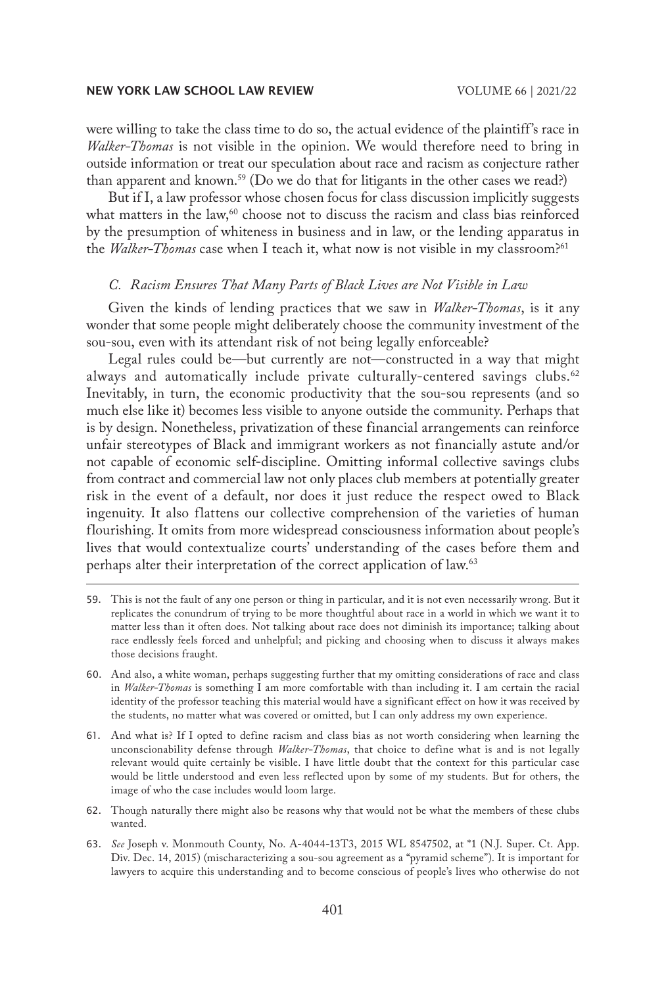were willing to take the class time to do so, the actual evidence of the plaintiff's race in *Walker-Thomas* is not visible in the opinion. We would therefore need to bring in outside information or treat our speculation about race and racism as conjecture rather than apparent and known.<sup>59</sup> (Do we do that for litigants in the other cases we read?)

But if I, a law professor whose chosen focus for class discussion implicitly suggests what matters in the law, $60$  choose not to discuss the racism and class bias reinforced by the presumption of whiteness in business and in law, or the lending apparatus in the *Walker-Thomas* case when I teach it, what now is not visible in my classroom?61

# *C. Racism Ensures That Many Parts of Black Lives are Not Visible in Law*

Given the kinds of lending practices that we saw in *Walker-Thomas*, is it any wonder that some people might deliberately choose the community investment of the sou-sou, even with its attendant risk of not being legally enforceable?

Legal rules could be—but currently are not—constructed in a way that might always and automatically include private culturally-centered savings clubs.<sup>62</sup> Inevitably, in turn, the economic productivity that the sou-sou represents (and so much else like it) becomes less visible to anyone outside the community. Perhaps that is by design. Nonetheless, privatization of these financial arrangements can reinforce unfair stereotypes of Black and immigrant workers as not financially astute and/or not capable of economic self-discipline. Omitting informal collective savings clubs from contract and commercial law not only places club members at potentially greater risk in the event of a default, nor does it just reduce the respect owed to Black ingenuity. It also flattens our collective comprehension of the varieties of human flourishing. It omits from more widespread consciousness information about people's lives that would contextualize courts' understanding of the cases before them and perhaps alter their interpretation of the correct application of law.<sup>63</sup>

- 59. This is not the fault of any one person or thing in particular, and it is not even necessarily wrong. But it replicates the conundrum of trying to be more thoughtful about race in a world in which we want it to matter less than it often does. Not talking about race does not diminish its importance; talking about race endlessly feels forced and unhelpful; and picking and choosing when to discuss it always makes those decisions fraught.
- 60. And also, a white woman, perhaps suggesting further that my omitting considerations of race and class in *Walker-Thomas* is something I am more comfortable with than including it. I am certain the racial identity of the professor teaching this material would have a significant effect on how it was received by the students, no matter what was covered or omitted, but I can only address my own experience.
- 61. And what is? If I opted to define racism and class bias as not worth considering when learning the unconscionability defense through *Walker-Thomas*, that choice to define what is and is not legally relevant would quite certainly be visible. I have little doubt that the context for this particular case would be little understood and even less reflected upon by some of my students. But for others, the image of who the case includes would loom large.
- 62. Though naturally there might also be reasons why that would not be what the members of these clubs wanted.
- 63. *See* Joseph v. Monmouth County, No. A-4044-13T3, 2015 WL 8547502, at \*1 (N.J. Super. Ct. App. Div. Dec. 14, 2015) (mischaracterizing a sou-sou agreement as a "pyramid scheme"). It is important for lawyers to acquire this understanding and to become conscious of people's lives who otherwise do not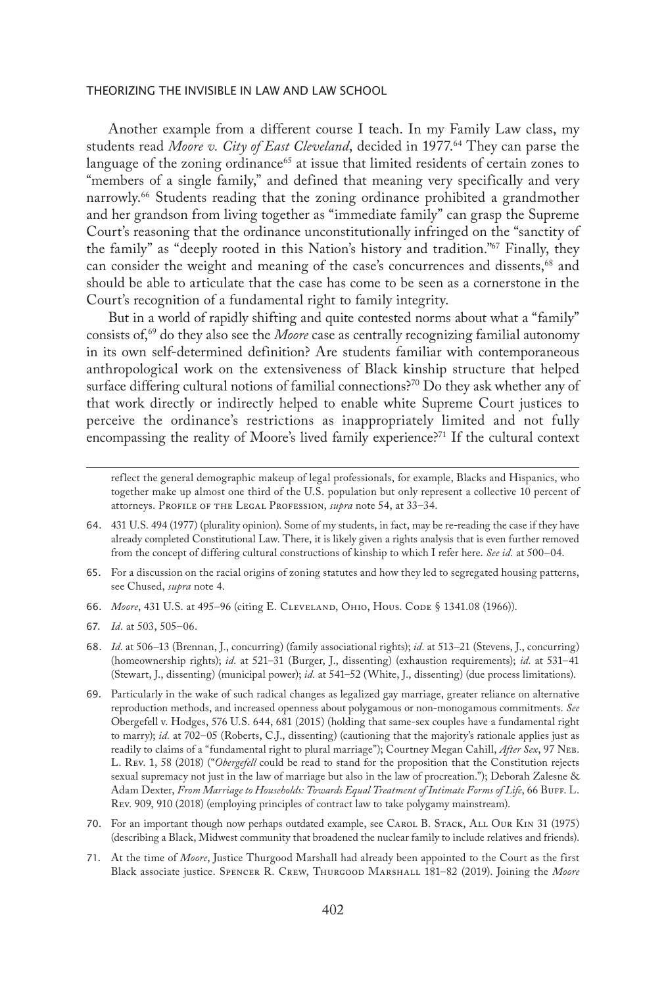Another example from a different course I teach. In my Family Law class, my students read *Moore v. City of East Cleveland*, decided in 1977.<sup>64</sup> They can parse the language of the zoning ordinance<sup>65</sup> at issue that limited residents of certain zones to "members of a single family," and defined that meaning very specifically and very narrowly.66 Students reading that the zoning ordinance prohibited a grandmother and her grandson from living together as "immediate family" can grasp the Supreme Court's reasoning that the ordinance unconstitutionally infringed on the "sanctity of the family" as "deeply rooted in this Nation's history and tradition."67 Finally, they can consider the weight and meaning of the case's concurrences and dissents,<sup>68</sup> and should be able to articulate that the case has come to be seen as a cornerstone in the Court's recognition of a fundamental right to family integrity.

But in a world of rapidly shifting and quite contested norms about what a "family" consists of,<sup>69</sup> do they also see the *Moore* case as centrally recognizing familial autonomy in its own self-determined definition? Are students familiar with contemporaneous anthropological work on the extensiveness of Black kinship structure that helped surface differing cultural notions of familial connections?<sup>70</sup> Do they ask whether any of that work directly or indirectly helped to enable white Supreme Court justices to perceive the ordinance's restrictions as inappropriately limited and not fully encompassing the reality of Moore's lived family experience?<sup>71</sup> If the cultural context

reflect the general demographic makeup of legal professionals, for example, Blacks and Hispanics, who together make up almost one third of the U.S. population but only represent a collective 10 percent of attorneys. PROFILE OF THE LEGAL PROFESSION, *supra* note 54, at 33-34.

- 65. For a discussion on the racial origins of zoning statutes and how they led to segregated housing patterns, see Chused, *supra* note 4.
- 66. *Moore*, 431 U.S. at 495–96 (citing E. Cleveland, Ohio, Hous. Code § 1341.08 (1966)).
- 67. *Id.* at 503, 505–06.
- 68. *Id.* at 506–13 (Brennan, J., concurring) (family associational rights); *id.* at 513–21 (Stevens, J., concurring) (homeownership rights); *id.* at 521–31 (Burger, J., dissenting) (exhaustion requirements); *id.* at 531–41 (Stewart, J., dissenting) (municipal power); *id.* at 541–52 (White, J., dissenting) (due process limitations).
- 69. Particularly in the wake of such radical changes as legalized gay marriage, greater reliance on alternative reproduction methods, and increased openness about polygamous or non-monogamous commitments. *See* Obergefell v. Hodges, 576 U.S. 644, 681 (2015) (holding that same-sex couples have a fundamental right to marry); *id.* at 702–05 (Roberts, C.J., dissenting) (cautioning that the majority's rationale applies just as readily to claims of a "fundamental right to plural marriage"); Courtney Megan Cahill, *After Sex*, 97 Neb. L. Rev. 1, 58 (2018) ("*Obergefell* could be read to stand for the proposition that the Constitution rejects sexual supremacy not just in the law of marriage but also in the law of procreation."); Deborah Zalesne & Adam Dexter, *From Marriage to Households: Towards Equal Treatment of Intimate Forms of Life*, 66 Buff. L. Rev. 909, 910 (2018) (employing principles of contract law to take polygamy mainstream).
- 70. For an important though now perhaps outdated example, see CAROL B. STACK, ALL OUR KIN 31 (1975) (describing a Black, Midwest community that broadened the nuclear family to include relatives and friends).
- 71. At the time of *Moore*, Justice Thurgood Marshall had already been appointed to the Court as the first Black associate justice. Spencer R. Crew, Thurgood Marshall 181–82 (2019). Joining the *Moore*

<sup>64.</sup> 431 U.S. 494 (1977) (plurality opinion). Some of my students, in fact, may be re-reading the case if they have already completed Constitutional Law. There, it is likely given a rights analysis that is even further removed from the concept of differing cultural constructions of kinship to which I refer here. *See id.* at 500–04.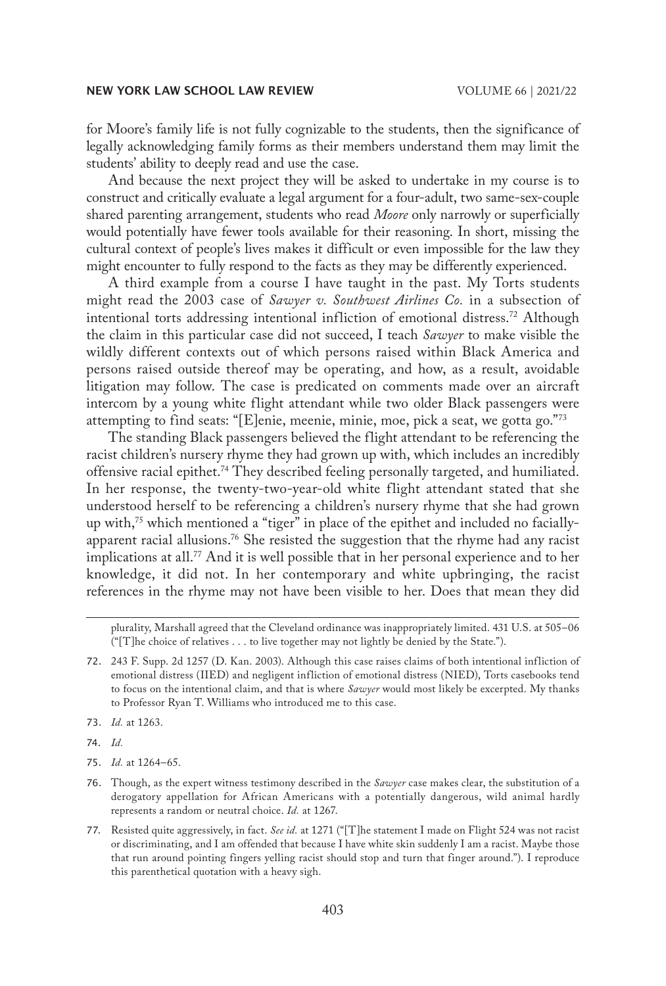for Moore's family life is not fully cognizable to the students, then the significance of legally acknowledging family forms as their members understand them may limit the students' ability to deeply read and use the case.

And because the next project they will be asked to undertake in my course is to construct and critically evaluate a legal argument for a four-adult, two same-sex-couple shared parenting arrangement, students who read *Moore* only narrowly or superficially would potentially have fewer tools available for their reasoning. In short, missing the cultural context of people's lives makes it difficult or even impossible for the law they might encounter to fully respond to the facts as they may be differently experienced.

A third example from a course I have taught in the past. My Torts students might read the 2003 case of *Sawyer v. Southwest Airlines Co.* in a subsection of intentional torts addressing intentional infliction of emotional distress.72 Although the claim in this particular case did not succeed, I teach *Sawyer* to make visible the wildly different contexts out of which persons raised within Black America and persons raised outside thereof may be operating, and how, as a result, avoidable litigation may follow. The case is predicated on comments made over an aircraft intercom by a young white flight attendant while two older Black passengers were attempting to find seats: "[E]enie, meenie, minie, moe, pick a seat, we gotta go."73

The standing Black passengers believed the flight attendant to be referencing the racist children's nursery rhyme they had grown up with, which includes an incredibly offensive racial epithet.74 They described feeling personally targeted, and humiliated. In her response, the twenty-two-year-old white flight attendant stated that she understood herself to be referencing a children's nursery rhyme that she had grown up with, $75$  which mentioned a "tiger" in place of the epithet and included no faciallyapparent racial allusions.<sup>76</sup> She resisted the suggestion that the rhyme had any racist implications at all.<sup>77</sup> And it is well possible that in her personal experience and to her knowledge, it did not. In her contemporary and white upbringing, the racist references in the rhyme may not have been visible to her. Does that mean they did

73. *Id.* at 1263.

74. *Id.*

75. *Id.* at 1264–65.

plurality, Marshall agreed that the Cleveland ordinance was inappropriately limited. 431 U.S. at 505–06 ("[T]he choice of relatives . . . to live together may not lightly be denied by the State.").

<sup>72.</sup> 243 F. Supp. 2d 1257 (D. Kan. 2003). Although this case raises claims of both intentional infliction of emotional distress (IIED) and negligent infliction of emotional distress (NIED), Torts casebooks tend to focus on the intentional claim, and that is where *Sawyer* would most likely be excerpted. My thanks to Professor Ryan T. Williams who introduced me to this case.

<sup>76.</sup> Though, as the expert witness testimony described in the *Sawyer* case makes clear, the substitution of a derogatory appellation for African Americans with a potentially dangerous, wild animal hardly represents a random or neutral choice. *Id.* at 1267.

<sup>77.</sup> Resisted quite aggressively, in fact. *See id.* at 1271 ("[T]he statement I made on Flight 524 was not racist or discriminating, and I am offended that because I have white skin suddenly I am a racist. Maybe those that run around pointing fingers yelling racist should stop and turn that finger around."). I reproduce this parenthetical quotation with a heavy sigh.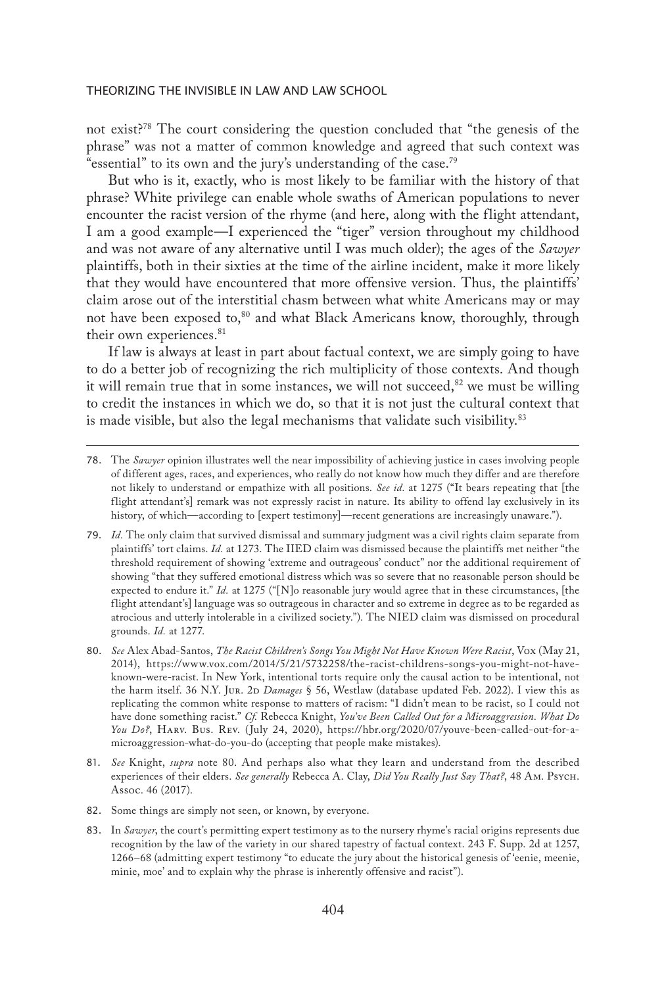not exist?78 The court considering the question concluded that "the genesis of the phrase" was not a matter of common knowledge and agreed that such context was "essential" to its own and the jury's understanding of the case.79

But who is it, exactly, who is most likely to be familiar with the history of that phrase? White privilege can enable whole swaths of American populations to never encounter the racist version of the rhyme (and here, along with the flight attendant, I am a good example—I experienced the "tiger" version throughout my childhood and was not aware of any alternative until I was much older); the ages of the *Sawyer* plaintiffs, both in their sixties at the time of the airline incident, make it more likely that they would have encountered that more offensive version. Thus, the plaintiffs' claim arose out of the interstitial chasm between what white Americans may or may not have been exposed to,<sup>80</sup> and what Black Americans know, thoroughly, through their own experiences.<sup>81</sup>

If law is always at least in part about factual context, we are simply going to have to do a better job of recognizing the rich multiplicity of those contexts. And though it will remain true that in some instances, we will not succeed, $82$  we must be willing to credit the instances in which we do, so that it is not just the cultural context that is made visible, but also the legal mechanisms that validate such visibility.<sup>83</sup>

81. *See* Knight, *supra* note 80. And perhaps also what they learn and understand from the described experiences of their elders. *See generally* Rebecca A. Clay, *Did You Really Just Say That?*, 48 Am. Psych. Assoc. 46 (2017).

82. Some things are simply not seen, or known, by everyone.

83. In *Sawyer*, the court's permitting expert testimony as to the nursery rhyme's racial origins represents due recognition by the law of the variety in our shared tapestry of factual context. 243 F. Supp. 2d at 1257, 1266–68 (admitting expert testimony "to educate the jury about the historical genesis of 'eenie, meenie, minie, moe' and to explain why the phrase is inherently offensive and racist").

<sup>78.</sup> The *Sawyer* opinion illustrates well the near impossibility of achieving justice in cases involving people of different ages, races, and experiences, who really do not know how much they differ and are therefore not likely to understand or empathize with all positions. *See id.* at 1275 ("It bears repeating that [the flight attendant's] remark was not expressly racist in nature. Its ability to offend lay exclusively in its history, of which—according to [expert testimony]—recent generations are increasingly unaware.").

<sup>79.</sup> *Id.* The only claim that survived dismissal and summary judgment was a civil rights claim separate from plaintiffs' tort claims. *Id.* at 1273. The IIED claim was dismissed because the plaintiffs met neither "the threshold requirement of showing 'extreme and outrageous' conduct" nor the additional requirement of showing "that they suffered emotional distress which was so severe that no reasonable person should be expected to endure it." *Id.* at 1275 ("[N]o reasonable jury would agree that in these circumstances, [the flight attendant's] language was so outrageous in character and so extreme in degree as to be regarded as atrocious and utterly intolerable in a civilized society."). The NIED claim was dismissed on procedural grounds. *Id.* at 1277.

<sup>80.</sup> *See* Alex Abad-Santos, *The Racist Children's Songs You Might Not Have Known Were Racist*, Vox (May 21, 2014), https://www.vox.com/2014/5/21/5732258/the-racist-childrens-songs-you-might-not-haveknown-were-racist. In New York, intentional torts require only the causal action to be intentional, not the harm itself. 36 N.Y. Jur. 2D *Damages* § 56, Westlaw (database updated Feb. 2022). I view this as replicating the common white response to matters of racism: "I didn't mean to be racist, so I could not have done something racist." *Cf.* Rebecca Knight, *You've Been Called Out for a Microaggression. What Do You Do?*, Harv. Bus. Rev. (July 24, 2020), https://hbr.org/2020/07/youve-been-called-out-for-amicroaggression-what-do-you-do (accepting that people make mistakes).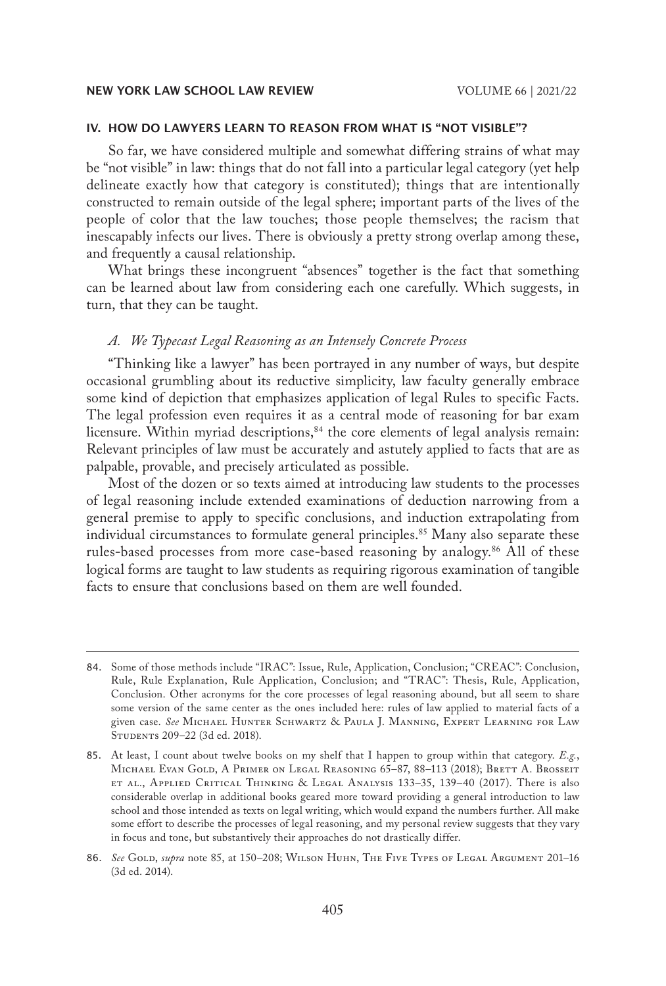#### IV. HOW DO LAWYERS LEARN TO REASON FROM WHAT IS "NOT VISIBLE"?

So far, we have considered multiple and somewhat differing strains of what may be "not visible" in law: things that do not fall into a particular legal category (yet help delineate exactly how that category is constituted); things that are intentionally constructed to remain outside of the legal sphere; important parts of the lives of the people of color that the law touches; those people themselves; the racism that inescapably infects our lives. There is obviously a pretty strong overlap among these, and frequently a causal relationship.

What brings these incongruent "absences" together is the fact that something can be learned about law from considering each one carefully. Which suggests, in turn, that they can be taught.

# *A. We Typecast Legal Reasoning as an Intensely Concrete Process*

"Thinking like a lawyer" has been portrayed in any number of ways, but despite occasional grumbling about its reductive simplicity, law faculty generally embrace some kind of depiction that emphasizes application of legal Rules to specific Facts. The legal profession even requires it as a central mode of reasoning for bar exam licensure. Within myriad descriptions,<sup>84</sup> the core elements of legal analysis remain: Relevant principles of law must be accurately and astutely applied to facts that are as palpable, provable, and precisely articulated as possible.

Most of the dozen or so texts aimed at introducing law students to the processes of legal reasoning include extended examinations of deduction narrowing from a general premise to apply to specific conclusions, and induction extrapolating from individual circumstances to formulate general principles.<sup>85</sup> Many also separate these rules-based processes from more case-based reasoning by analogy.<sup>86</sup> All of these logical forms are taught to law students as requiring rigorous examination of tangible facts to ensure that conclusions based on them are well founded.

<sup>84.</sup> Some of those methods include "IRAC": Issue, Rule, Application, Conclusion; "CREAC": Conclusion, Rule, Rule Explanation, Rule Application, Conclusion; and "TRAC": Thesis, Rule, Application, Conclusion. Other acronyms for the core processes of legal reasoning abound, but all seem to share some version of the same center as the ones included here: rules of law applied to material facts of a given case. *See* Michael Hunter Schwartz & Paula J. Manning, Expert Learning for Law Students 209–22 (3d ed. 2018).

<sup>85.</sup> At least, I count about twelve books on my shelf that I happen to group within that category. *E.g.*, Michael Evan Gold, A Primer on Legal Reasoning 65–87, 88–113 (2018); Brett A. Brosseit et al., Applied Critical Thinking & Legal Analysis 133–35, 139–40 (2017). There is also considerable overlap in additional books geared more toward providing a general introduction to law school and those intended as texts on legal writing, which would expand the numbers further. All make some effort to describe the processes of legal reasoning, and my personal review suggests that they vary in focus and tone, but substantively their approaches do not drastically differ.

<sup>86.</sup> See GOLD, *supra* note 85, at 150–208; WILSON HUHN, THE FIVE TYPES OF LEGAL ARGUMENT 201–16 (3d ed. 2014).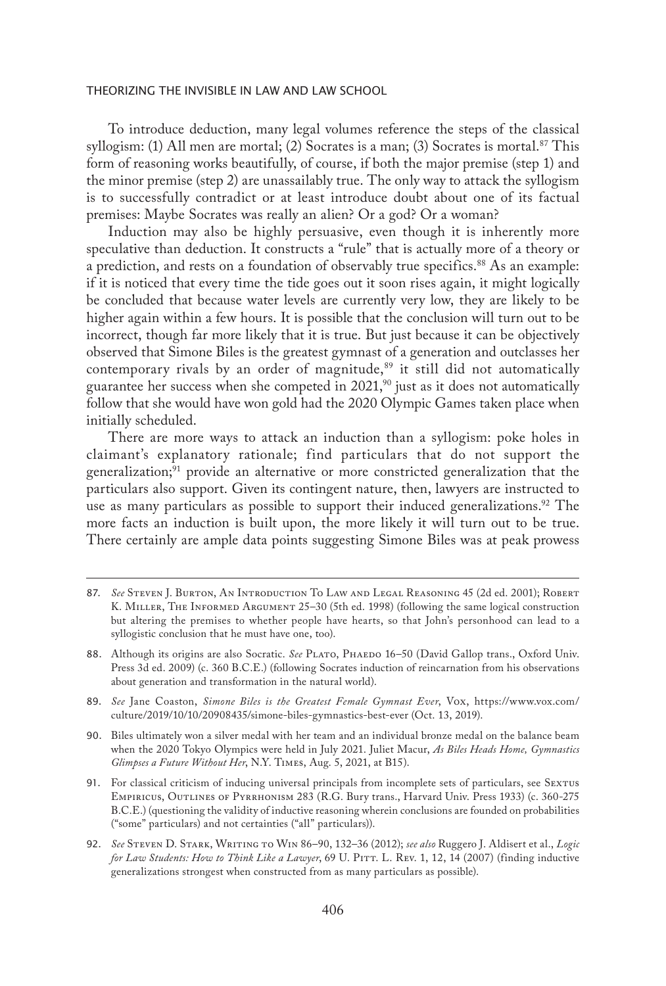To introduce deduction, many legal volumes reference the steps of the classical syllogism: (1) All men are mortal; (2) Socrates is a man; (3) Socrates is mortal.<sup>87</sup> This form of reasoning works beautifully, of course, if both the major premise (step 1) and the minor premise (step 2) are unassailably true. The only way to attack the syllogism is to successfully contradict or at least introduce doubt about one of its factual premises: Maybe Socrates was really an alien? Or a god? Or a woman?

Induction may also be highly persuasive, even though it is inherently more speculative than deduction. It constructs a "rule" that is actually more of a theory or a prediction, and rests on a foundation of observably true specifics.<sup>88</sup> As an example: if it is noticed that every time the tide goes out it soon rises again, it might logically be concluded that because water levels are currently very low, they are likely to be higher again within a few hours. It is possible that the conclusion will turn out to be incorrect, though far more likely that it is true. But just because it can be objectively observed that Simone Biles is the greatest gymnast of a generation and outclasses her contemporary rivals by an order of magnitude, $89$  it still did not automatically guarantee her success when she competed in  $2021$ ,<sup>90</sup> just as it does not automatically follow that she would have won gold had the 2020 Olympic Games taken place when initially scheduled.

There are more ways to attack an induction than a syllogism: poke holes in claimant's explanatory rationale; find particulars that do not support the generalization;<sup>91</sup> provide an alternative or more constricted generalization that the particulars also support. Given its contingent nature, then, lawyers are instructed to use as many particulars as possible to support their induced generalizations.<sup>92</sup> The more facts an induction is built upon, the more likely it will turn out to be true. There certainly are ample data points suggesting Simone Biles was at peak prowess

- 88. Although its origins are also Socratic. *See* PLATO, PHAEDO 16–50 (David Gallop trans., Oxford Univ. Press 3d ed. 2009) (c. 360 B.C.E.) (following Socrates induction of reincarnation from his observations about generation and transformation in the natural world).
- 89. *See* Jane Coaston, *Simone Biles is the Greatest Female Gymnast Ever*, Vox, https://www.vox.com/ culture/2019/10/10/20908435/simone-biles-gymnastics-best-ever (Oct. 13, 2019).
- 90. Biles ultimately won a silver medal with her team and an individual bronze medal on the balance beam when the 2020 Tokyo Olympics were held in July 2021. Juliet Macur, *As Biles Heads Home, Gymnastics Glimpses a Future Without Her*, N.Y. Times, Aug. 5, 2021, at B15).
- 91. For classical criticism of inducing universal principals from incomplete sets of particulars, see Sextus Empiricus, Outlines of Pyrrhonism 283 (R.G. Bury trans., Harvard Univ. Press 1933) (c. 360-275 B.C.E.) (questioning the validity of inductive reasoning wherein conclusions are founded on probabilities ("some" particulars) and not certainties ("all" particulars)).
- 92. *See* Steven D. Stark, Writing to Win 86–90, 132–36 (2012); *see also* Ruggero J. Aldisert et al., *Logic for Law Students: How to Think Like a Lawyer*, 69 U. Pitt. L. Rev. 1, 12, 14 (2007) (finding inductive generalizations strongest when constructed from as many particulars as possible).

<sup>87.</sup> *See* Steven J. Burton, An Introduction To Law and Legal Reasoning 45 (2d ed. 2001); Robert K. MILLER, THE INFORMED ARGUMENT 25-30 (5th ed. 1998) (following the same logical construction but altering the premises to whether people have hearts, so that John's personhood can lead to a syllogistic conclusion that he must have one, too).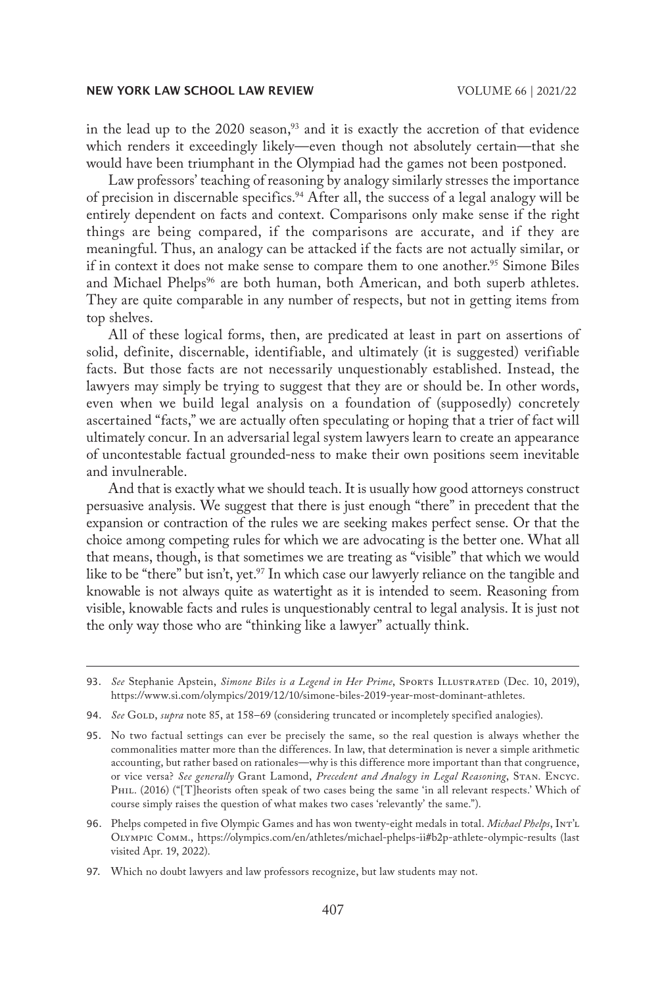in the lead up to the 2020 season, $93$  and it is exactly the accretion of that evidence which renders it exceedingly likely—even though not absolutely certain—that she would have been triumphant in the Olympiad had the games not been postponed.

Law professors' teaching of reasoning by analogy similarly stresses the importance of precision in discernable specifics.94 After all, the success of a legal analogy will be entirely dependent on facts and context. Comparisons only make sense if the right things are being compared, if the comparisons are accurate, and if they are meaningful. Thus, an analogy can be attacked if the facts are not actually similar, or if in context it does not make sense to compare them to one another.<sup>95</sup> Simone Biles and Michael Phelps<sup>96</sup> are both human, both American, and both superb athletes. They are quite comparable in any number of respects, but not in getting items from top shelves.

All of these logical forms, then, are predicated at least in part on assertions of solid, definite, discernable, identifiable, and ultimately (it is suggested) verifiable facts. But those facts are not necessarily unquestionably established. Instead, the lawyers may simply be trying to suggest that they are or should be. In other words, even when we build legal analysis on a foundation of (supposedly) concretely ascertained "facts," we are actually often speculating or hoping that a trier of fact will ultimately concur. In an adversarial legal system lawyers learn to create an appearance of uncontestable factual grounded-ness to make their own positions seem inevitable and invulnerable.

And that is exactly what we should teach. It is usually how good attorneys construct persuasive analysis. We suggest that there is just enough "there" in precedent that the expansion or contraction of the rules we are seeking makes perfect sense. Or that the choice among competing rules for which we are advocating is the better one. What all that means, though, is that sometimes we are treating as "visible" that which we would like to be "there" but isn't, yet.<sup>97</sup> In which case our lawyerly reliance on the tangible and knowable is not always quite as watertight as it is intended to seem. Reasoning from visible, knowable facts and rules is unquestionably central to legal analysis. It is just not the only way those who are "thinking like a lawyer" actually think.

94. *See* GOLD, *supra* note 85, at 158–69 (considering truncated or incompletely specified analogies).

<sup>93.</sup> See Stephanie Apstein, *Simone Biles is a Legend in Her Prime*, SPORTS ILLUSTRATED (Dec. 10, 2019), https://www.si.com/olympics/2019/12/10/simone-biles-2019-year-most-dominant-athletes.

<sup>95.</sup> No two factual settings can ever be precisely the same, so the real question is always whether the commonalities matter more than the differences. In law, that determination is never a simple arithmetic accounting, but rather based on rationales—why is this difference more important than that congruence, or vice versa? *See generally* Grant Lamond, *Precedent and Analogy in Legal Reasoning*, Stan. Encyc. PHIL. (2016) ("[T]heorists often speak of two cases being the same 'in all relevant respects.' Which of course simply raises the question of what makes two cases 'relevantly' the same.").

<sup>96.</sup> Phelps competed in five Olympic Games and has won twenty-eight medals in total. *Michael Phelps*, Int'l Olympic Comm., https://olympics.com/en/athletes/michael-phelps-ii#b2p-athlete-olympic-results (last visited Apr. 19, 2022).

<sup>97.</sup> Which no doubt lawyers and law professors recognize, but law students may not.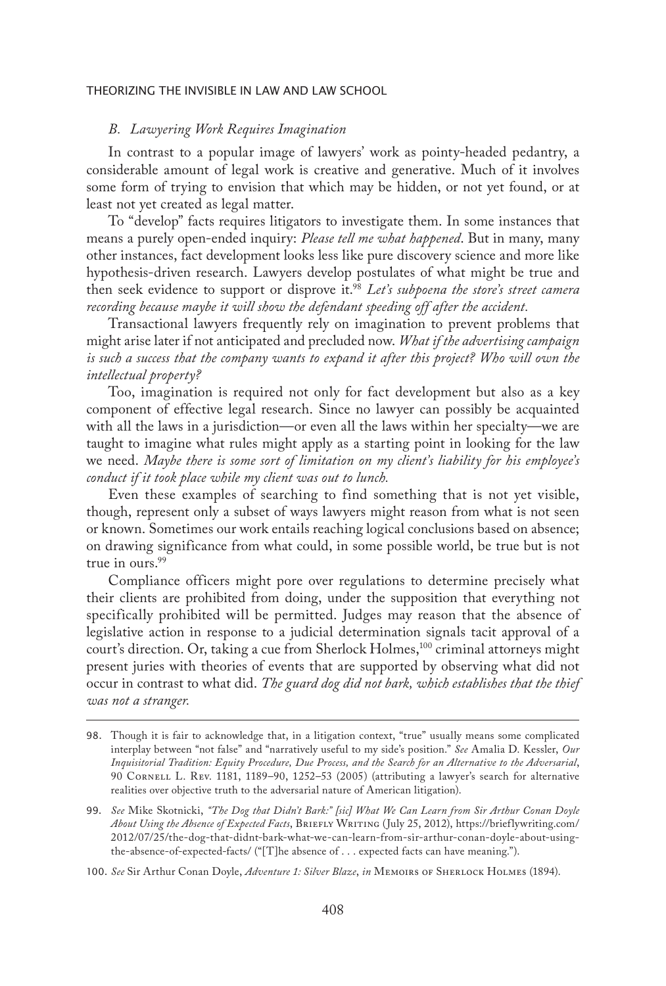# *B. Lawyering Work Requires Imagination*

In contrast to a popular image of lawyers' work as pointy-headed pedantry, a considerable amount of legal work is creative and generative. Much of it involves some form of trying to envision that which may be hidden, or not yet found, or at least not yet created as legal matter.

To "develop" facts requires litigators to investigate them. In some instances that means a purely open-ended inquiry: *Please tell me what happened*. But in many, many other instances, fact development looks less like pure discovery science and more like hypothesis-driven research. Lawyers develop postulates of what might be true and then seek evidence to support or disprove it.98 *Let's subpoena the store's street camera recording because maybe it will show the defendant speeding off after the accident.*

Transactional lawyers frequently rely on imagination to prevent problems that might arise later if not anticipated and precluded now. *What if the advertising campaign is such a success that the company wants to expand it after this project? Who will own the intellectual property?*

Too, imagination is required not only for fact development but also as a key component of effective legal research. Since no lawyer can possibly be acquainted with all the laws in a jurisdiction—or even all the laws within her specialty—we are taught to imagine what rules might apply as a starting point in looking for the law we need. *Maybe there is some sort of limitation on my client's liability for his employee's conduct if it took place while my client was out to lunch.*

Even these examples of searching to find something that is not yet visible, though, represent only a subset of ways lawyers might reason from what is not seen or known. Sometimes our work entails reaching logical conclusions based on absence; on drawing significance from what could, in some possible world, be true but is not true in ours.<sup>99</sup>

Compliance officers might pore over regulations to determine precisely what their clients are prohibited from doing, under the supposition that everything not specifically prohibited will be permitted. Judges may reason that the absence of legislative action in response to a judicial determination signals tacit approval of a court's direction. Or, taking a cue from Sherlock Holmes,<sup>100</sup> criminal attorneys might present juries with theories of events that are supported by observing what did not occur in contrast to what did. *The guard dog did not bark, which establishes that the thief was not a stranger.*

<sup>98.</sup> Though it is fair to acknowledge that, in a litigation context, "true" usually means some complicated interplay between "not false" and "narratively useful to my side's position." *See* Amalia D. Kessler, *Our Inquisitorial Tradition: Equity Procedure, Due Process, and the Search for an Alternative to the Adversarial*, 90 Cornell L. Rev. 1181, 1189–90, 1252–53 (2005) (attributing a lawyer's search for alternative realities over objective truth to the adversarial nature of American litigation).

<sup>99.</sup> *See* Mike Skotnicki, *"The Dog that Didn't Bark:" [sic] What We Can Learn from Sir Arthur Conan Doyle About Using the Absence of Expected Facts*, Briefly Writing (July 25, 2012), https://brieflywriting.com/ 2012/07/25/the-dog-that-didnt-bark-what-we-can-learn-from-sir-arthur-conan-doyle-about-usingthe-absence-of-expected-facts/ ("[T]he absence of . . . expected facts can have meaning.").

<sup>100.</sup> *See* Sir Arthur Conan Doyle, *Adventure 1: Silver Blaze*, *in* Memoirs of Sherlock Holmes (1894).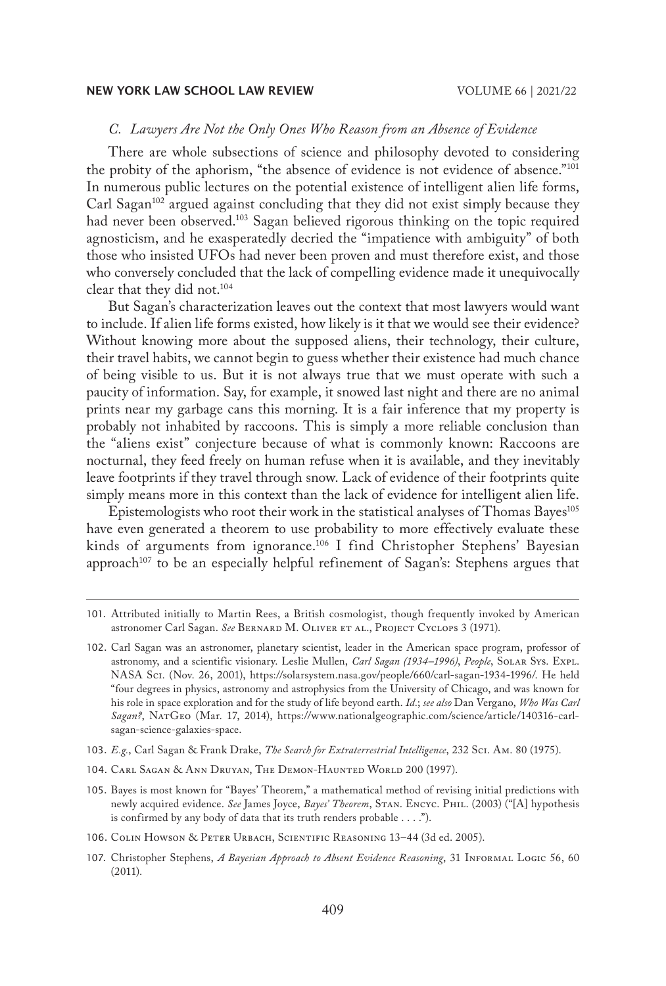# *C. Lawyers Are Not the Only Ones Who Reason from an Absence of Evidence*

There are whole subsections of science and philosophy devoted to considering the probity of the aphorism, "the absence of evidence is not evidence of absence."101 In numerous public lectures on the potential existence of intelligent alien life forms, Carl Sagan<sup>102</sup> argued against concluding that they did not exist simply because they had never been observed.<sup>103</sup> Sagan believed rigorous thinking on the topic required agnosticism, and he exasperatedly decried the "impatience with ambiguity" of both those who insisted UFOs had never been proven and must therefore exist, and those who conversely concluded that the lack of compelling evidence made it unequivocally clear that they did not.104

But Sagan's characterization leaves out the context that most lawyers would want to include. If alien life forms existed, how likely is it that we would see their evidence? Without knowing more about the supposed aliens, their technology, their culture, their travel habits, we cannot begin to guess whether their existence had much chance of being visible to us. But it is not always true that we must operate with such a paucity of information. Say, for example, it snowed last night and there are no animal prints near my garbage cans this morning. It is a fair inference that my property is probably not inhabited by raccoons. This is simply a more reliable conclusion than the "aliens exist" conjecture because of what is commonly known: Raccoons are nocturnal, they feed freely on human refuse when it is available, and they inevitably leave footprints if they travel through snow. Lack of evidence of their footprints quite simply means more in this context than the lack of evidence for intelligent alien life.

Epistemologists who root their work in the statistical analyses of Thomas Bayes<sup>105</sup> have even generated a theorem to use probability to more effectively evaluate these kinds of arguments from ignorance.<sup>106</sup> I find Christopher Stephens' Bayesian approach<sup>107</sup> to be an especially helpful refinement of Sagan's: Stephens argues that

- 104. Carl Sagan & Ann Druyan, The Demon-Haunted World 200 (1997).
- 105. Bayes is most known for "Bayes' Theorem," a mathematical method of revising initial predictions with newly acquired evidence. *See* James Joyce, *Bayes' Theorem*, Stan. Encyc. Phil. (2003) ("[A] hypothesis is confirmed by any body of data that its truth renders probable . . . .").
- 106. Colin Howson & Peter Urbach, Scientific Reasoning 13–44 (3d ed. 2005).

<sup>101.</sup> Attributed initially to Martin Rees, a British cosmologist, though frequently invoked by American astronomer Carl Sagan. See BERNARD M. OLIVER ET AL., PROJECT CYCLOPS 3 (1971).

<sup>102.</sup> Carl Sagan was an astronomer, planetary scientist, leader in the American space program, professor of astronomy, and a scientific visionary. Leslie Mullen, *Carl Sagan (1934–1996)*, *People*, Solar Sys. Expl. NASA Sci. (Nov. 26, 2001), https://solarsystem.nasa.gov/people/660/carl-sagan-1934-1996/. He held "four degrees in physics, astronomy and astrophysics from the University of Chicago, and was known for his role in space exploration and for the study of life beyond earth. *Id.*; *see also* Dan Vergano, *Who Was Carl Sagan?*, NatGeo (Mar. 17, 2014), https://www.nationalgeographic.com/science/article/140316-carlsagan-science-galaxies-space.

<sup>103.</sup> *E.g.*, Carl Sagan & Frank Drake, *The Search for Extraterrestrial Intelligence*, 232 Sci. Am. 80 (1975).

<sup>107.</sup> Christopher Stephens, *A Bayesian Approach to Absent Evidence Reasoning*, 31 INFORMAL LOGIC 56, 60 (2011).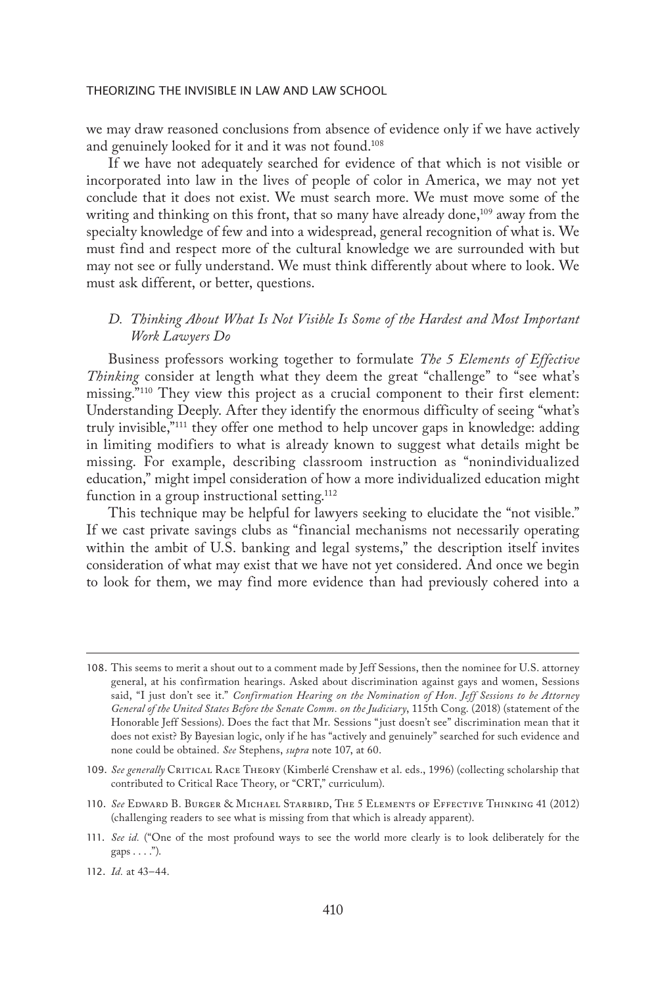we may draw reasoned conclusions from absence of evidence only if we have actively and genuinely looked for it and it was not found.108

If we have not adequately searched for evidence of that which is not visible or incorporated into law in the lives of people of color in America, we may not yet conclude that it does not exist. We must search more. We must move some of the writing and thinking on this front, that so many have already done,<sup>109</sup> away from the specialty knowledge of few and into a widespread, general recognition of what is. We must find and respect more of the cultural knowledge we are surrounded with but may not see or fully understand. We must think differently about where to look. We must ask different, or better, questions.

# *D. Thinking About What Is Not Visible Is Some of the Hardest and Most Important Work Lawyers Do*

Business professors working together to formulate *The 5 Elements of Effective Thinking* consider at length what they deem the great "challenge" to "see what's missing."110 They view this project as a crucial component to their first element: Understanding Deeply. After they identify the enormous difficulty of seeing "what's truly invisible,"111 they offer one method to help uncover gaps in knowledge: adding in limiting modifiers to what is already known to suggest what details might be missing. For example, describing classroom instruction as "nonindividualized education," might impel consideration of how a more individualized education might function in a group instructional setting.<sup>112</sup>

This technique may be helpful for lawyers seeking to elucidate the "not visible." If we cast private savings clubs as "financial mechanisms not necessarily operating within the ambit of U.S. banking and legal systems," the description itself invites consideration of what may exist that we have not yet considered. And once we begin to look for them, we may find more evidence than had previously cohered into a

<sup>108.</sup> This seems to merit a shout out to a comment made by Jeff Sessions, then the nominee for U.S. attorney general, at his confirmation hearings. Asked about discrimination against gays and women, Sessions said, "I just don't see it." *Confirmation Hearing on the Nomination of Hon. Jeff Sessions to be Attorney General of the United States Before the Senate Comm. on the Judiciary*, 115th Cong. (2018) (statement of the Honorable Jeff Sessions). Does the fact that Mr. Sessions "just doesn't see" discrimination mean that it does not exist? By Bayesian logic, only if he has "actively and genuinely" searched for such evidence and none could be obtained. *See* Stephens, *supra* note 107, at 60.

<sup>109.</sup> See generally CRITICAL RACE THEORY (Kimberlé Crenshaw et al. eds., 1996) (collecting scholarship that contributed to Critical Race Theory, or "CRT," curriculum).

<sup>110.</sup> *See* Edward B. Burger & Michael Starbird, The 5 Elements of Effective Thinking 41 (2012) (challenging readers to see what is missing from that which is already apparent).

<sup>111.</sup> *See id.* ("One of the most profound ways to see the world more clearly is to look deliberately for the  $\text{gaps} \ldots$ .").

<sup>112.</sup> *Id.* at 43–44.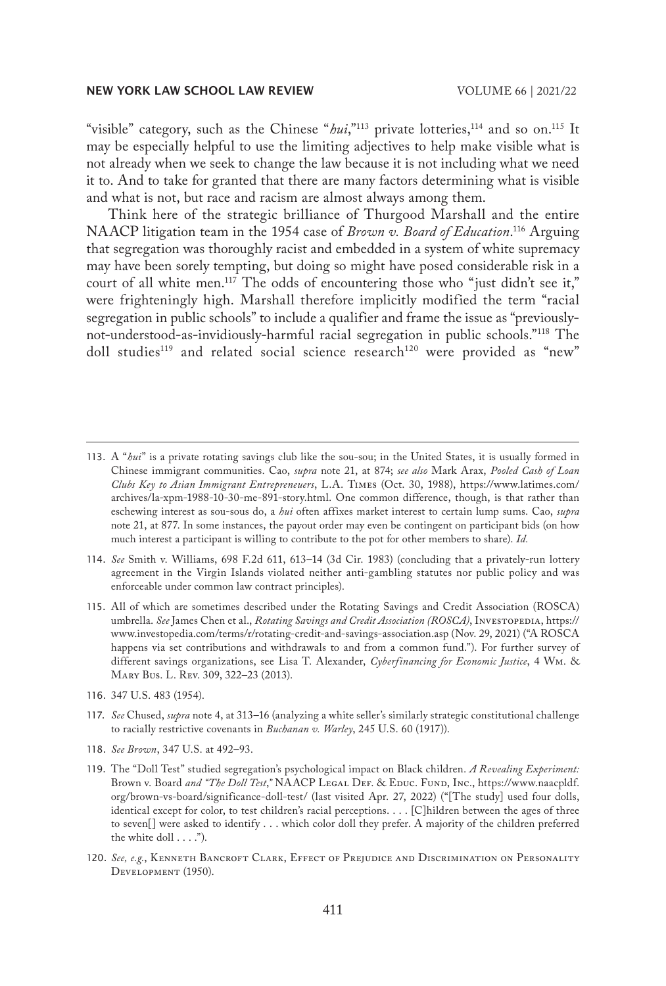"visible" category, such as the Chinese "*hui*,"<sup>113</sup> private lotteries,<sup>114</sup> and so on.<sup>115</sup> It may be especially helpful to use the limiting adjectives to help make visible what is not already when we seek to change the law because it is not including what we need it to. And to take for granted that there are many factors determining what is visible and what is not, but race and racism are almost always among them.

Think here of the strategic brilliance of Thurgood Marshall and the entire NAACP litigation team in the 1954 case of *Brown v. Board of Education*. 116 Arguing that segregation was thoroughly racist and embedded in a system of white supremacy may have been sorely tempting, but doing so might have posed considerable risk in a court of all white men.<sup>117</sup> The odds of encountering those who "just didn't see it," were frighteningly high. Marshall therefore implicitly modified the term "racial segregation in public schools" to include a qualifier and frame the issue as "previouslynot-understood-as-invidiously-harmful racial segregation in public schools."118 The doll studies<sup>119</sup> and related social science research<sup>120</sup> were provided as "new"

- 114. *See* Smith v. Williams, 698 F.2d 611, 613–14 (3d Cir. 1983) (concluding that a privately-run lottery agreement in the Virgin Islands violated neither anti-gambling statutes nor public policy and was enforceable under common law contract principles).
- 115. All of which are sometimes described under the Rotating Savings and Credit Association (ROSCA) umbrella. *See* James Chen et al., *Rotating Savings and Credit Association (ROSCA)*, Investopedia, https:// www.investopedia.com/terms/r/rotating-credit-and-savings-association.asp (Nov. 29, 2021) ("A ROSCA happens via set contributions and withdrawals to and from a common fund."). For further survey of different savings organizations, see Lisa T. Alexander, *Cyberfinancing for Economic Justice*, 4 Wm. & Mary Bus. L. Rev. 309, 322–23 (2013).
- 116. 347 U.S. 483 (1954).
- 117. *See* Chused, *supra* note 4, at 313–16 (analyzing a white seller's similarly strategic constitutional challenge to racially restrictive covenants in *Buchanan v. Warley*, 245 U.S. 60 (1917)).
- 118. *See Brown*, 347 U.S. at 492–93.
- 119. The "Doll Test" studied segregation's psychological impact on Black children. *A Revealing Experiment:*  Brown v. Board and "The Doll Test," NAACP LEGAL DEF. & EDUC. FUND, INC., https://www.naacpldf. org/brown-vs-board/significance-doll-test/ (last visited Apr. 27, 2022) ("[The study] used four dolls, identical except for color, to test children's racial perceptions. . . . [C]hildren between the ages of three to seven[] were asked to identify . . . which color doll they prefer. A majority of the children preferred the white doll . . . .").
- 120. See, e.g., KENNETH BANCROFT CLARK, EFFECT OF PREJUDICE AND DISCRIMINATION ON PERSONALITY Development (1950).

<sup>113.</sup> A "*hui*" is a private rotating savings club like the sou-sou; in the United States, it is usually formed in Chinese immigrant communities. Cao, *supra* note 21, at 874; *see also* Mark Arax, *Pooled Cash of Loan Clubs Key to Asian Immigrant Entrepreneuers*, L.A. Times (Oct. 30, 1988), https://www.latimes.com/ archives/la-xpm-1988-10-30-me-891-story.html. One common difference, though, is that rather than eschewing interest as sou-sous do, a *hui* often affixes market interest to certain lump sums. Cao, *supra* note 21, at 877. In some instances, the payout order may even be contingent on participant bids (on how much interest a participant is willing to contribute to the pot for other members to share). *Id.*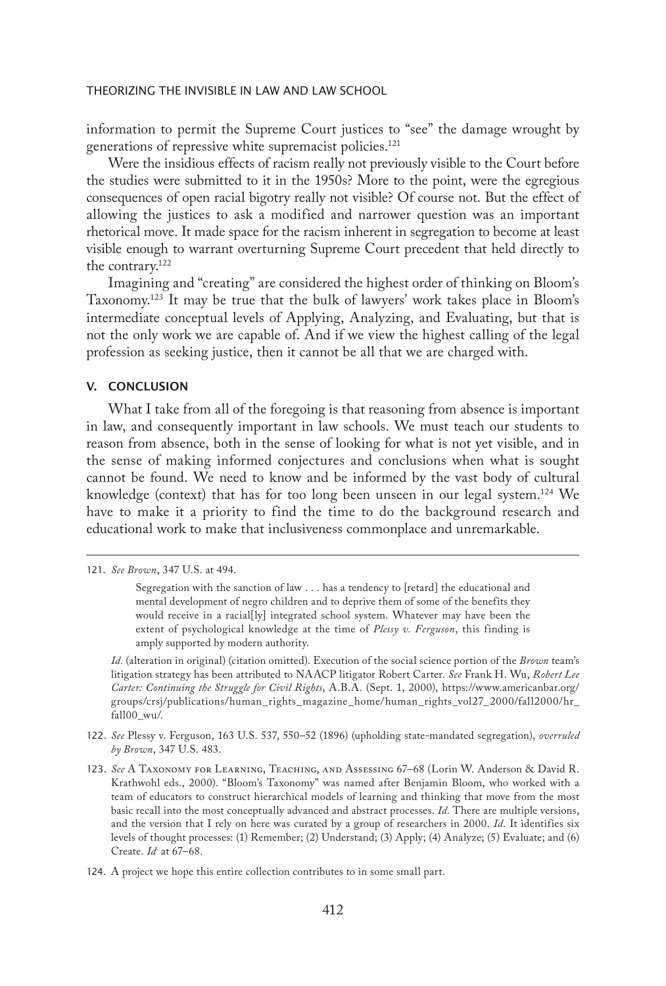information to permit the Supreme Court justices to "see" the damage wrought by generations of repressive white supremacist policies.<sup>121</sup>

Were the insidious effects of racism really not previously visible to the Court before the studies were submitted to it in the 1950s? More to the point, were the egregious consequences of open racial bigotry really not visible? Of course not. But the effect of allowing the justices to ask a modified and narrower question was an important rhetorical move. It made space for the racism inherent in segregation to become at least visible enough to warrant overturning Supreme Court precedent that held directly to the contrary.122

Imagining and "creating" are considered the highest order of thinking on Bloom's Taxonomy.123 It may be true that the bulk of lawyers' work takes place in Bloom's intermediate conceptual levels of Applying, Analyzing, and Evaluating, but that is not the only work we are capable of. And if we view the highest calling of the legal profession as seeking justice, then it cannot be all that we are charged with.

## V. CONCLUSION

What I take from all of the foregoing is that reasoning from absence is important in law, and consequently important in law schools. We must teach our students to reason from absence, both in the sense of looking for what is not yet visible, and in the sense of making informed conjectures and conclusions when what is sought cannot be found. We need to know and be informed by the vast body of cultural knowledge (context) that has for too long been unseen in our legal system.<sup>124</sup> We have to make it a priority to find the time to do the background research and educational work to make that inclusiveness commonplace and unremarkable.

*Id.* (alteration in original) (citation omitted). Execution of the social science portion of the *Brown* team's litigation strategy has been attributed to NAACP litigator Robert Carter. *See* Frank H. Wu, *Robert Lee Carter: Continuing the Struggle for Civil Rights*, A.B.A. (Sept. 1, 2000), https://www.americanbar.org/ groups/crsj/publications/human\_rights\_magazine\_home/human\_rights\_vol27\_2000/fall2000/hr\_ fall00\_wu/.

- 122. *See* Plessy v. Ferguson, 163 U.S. 537, 550–52 (1896) (upholding state-mandated segregation), *overruled by Brown*, 347 U.S. 483.
- 123. *See* A Taxonomy for Learning, Teaching, and Assessing 67–68 (Lorin W. Anderson & David R. Krathwohl eds., 2000). "Bloom's Taxonomy" was named after Benjamin Bloom, who worked with a team of educators to construct hierarchical models of learning and thinking that move from the most basic recall into the most conceptually advanced and abstract processes. *Id.* There are multiple versions, and the version that I rely on here was curated by a group of researchers in 2000. *Id.* It identifies six levels of thought processes: (1) Remember; (2) Understand; (3) Apply; (4) Analyze; (5) Evaluate; and (6) Create. *Id.* at 67–68.
- 124. A project we hope this entire collection contributes to in some small part.

<sup>121.</sup> *See Brown*, 347 U.S. at 494.

Segregation with the sanction of law . . . has a tendency to [retard] the educational and mental development of negro children and to deprive them of some of the benefits they would receive in a racial[ly] integrated school system. Whatever may have been the extent of psychological knowledge at the time of *Plessy v. Ferguson*, this finding is amply supported by modern authority.